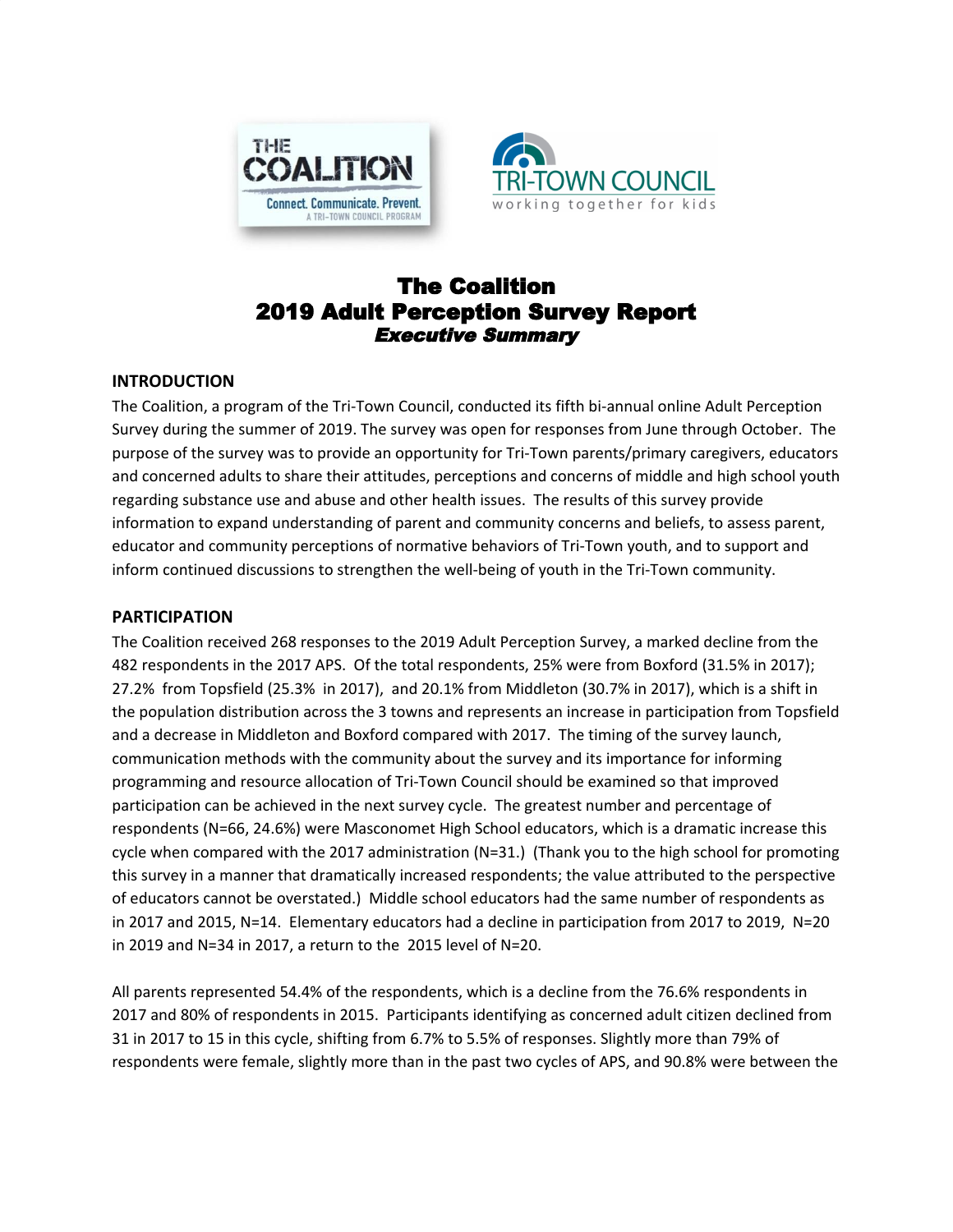



# The Coalition 2019 Adult Perception Survey Report Executive Summary

#### **INTRODUCTION**

The Coalition, a program of the Tri-Town Council, conducted its fifth bi-annual online Adult Perception Survey during the summer of 2019. The survey was open for responses from June through October. The purpose of the survey was to provide an opportunity for Tri-Town parents/primary caregivers, educators and concerned adults to share their attitudes, perceptions and concerns of middle and high school youth regarding substance use and abuse and other health issues. The results of this survey provide information to expand understanding of parent and community concerns and beliefs, to assess parent, educator and community perceptions of normative behaviors of Tri-Town youth, and to support and inform continued discussions to strengthen the well-being of youth in the Tri-Town community.

#### **PARTICIPATION**

The Coalition received 268 responses to the 2019 Adult Perception Survey, a marked decline from the 482 respondents in the 2017 APS. Of the total respondents, 25% were from Boxford (31.5% in 2017); 27.2% from Topsfield (25.3% in 2017), and 20.1% from Middleton (30.7% in 2017), which is a shift in the population distribution across the 3 towns and represents an increase in participation from Topsfield and a decrease in Middleton and Boxford compared with 2017. The timing of the survey launch, communication methods with the community about the survey and its importance for informing programming and resource allocation of Tri-Town Council should be examined so that improved participation can be achieved in the next survey cycle. The greatest number and percentage of respondents (N=66, 24.6%) were Masconomet High School educators, which is a dramatic increase this cycle when compared with the 2017 administration (N=31.) (Thank you to the high school for promoting this survey in a manner that dramatically increased respondents; the value attributed to the perspective of educators cannot be overstated.) Middle school educators had the same number of respondents as in 2017 and 2015, N=14. Elementary educators had a decline in participation from 2017 to 2019, N=20 in 2019 and N=34 in 2017, a return to the 2015 level of N=20.

All parents represented 54.4% of the respondents, which is a decline from the 76.6% respondents in 2017 and 80% of respondents in 2015. Participants identifying as concerned adult citizen declined from 31 in 2017 to 15 in this cycle, shifting from 6.7% to 5.5% of responses. Slightly more than 79% of respondents were female, slightly more than in the past two cycles of APS, and 90.8% were between the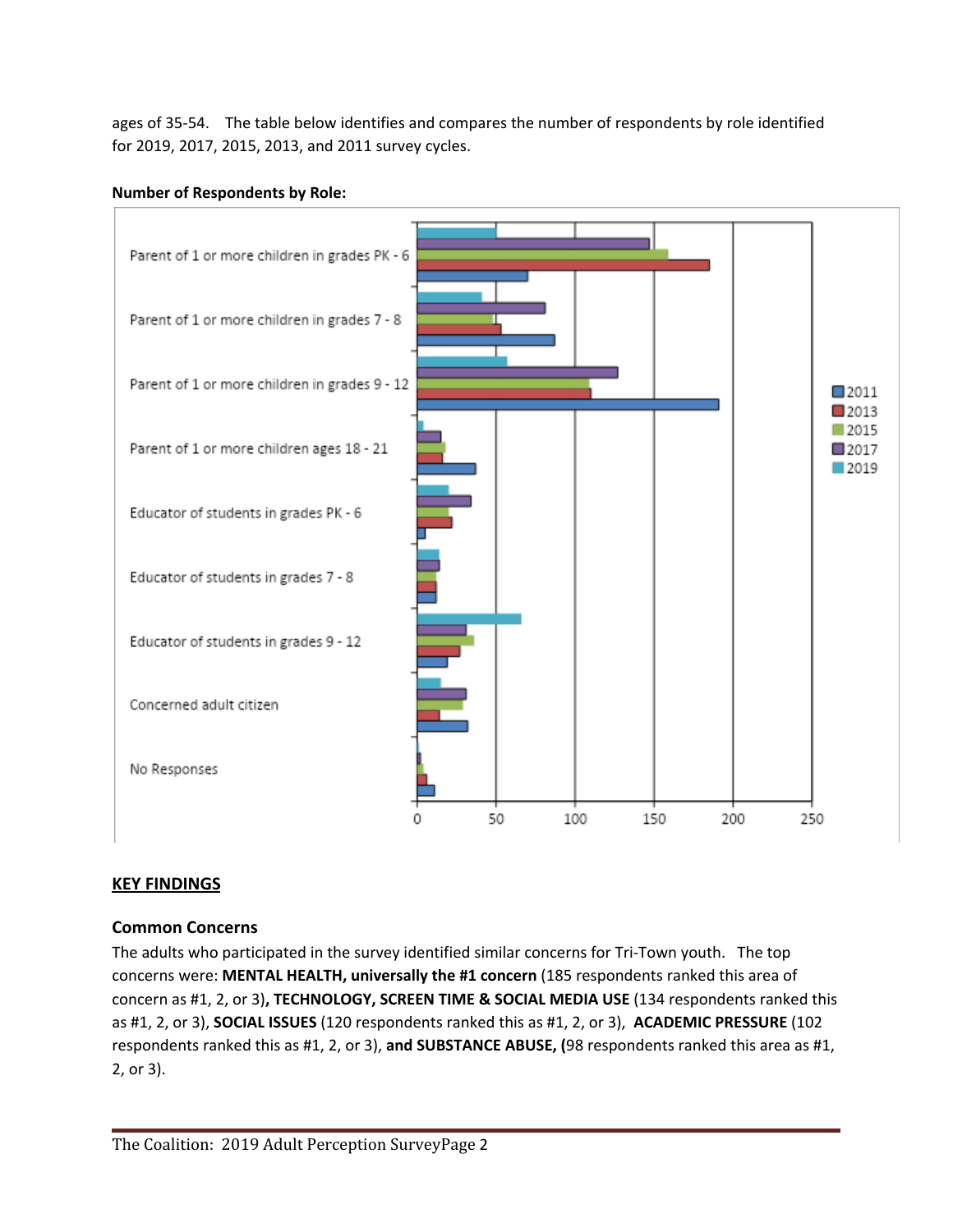ages of 35-54. The table below identifies and compares the number of respondents by role identified for 2019, 2017, 2015, 2013, and 2011 survey cycles.

### **Number of Respondents by Role:**



## **KEY FINDINGS**

## **Common Concerns**

The adults who participated in the survey identified similar concerns for Tri-Town youth. The top concerns were: **MENTAL HEALTH, universally the #1 concern** (185 respondents ranked this area of concern as #1, 2, or 3)**, TECHNOLOGY, SCREEN TIME & SOCIAL MEDIA USE** (134 respondents ranked this as #1, 2, or 3), **SOCIAL ISSUES** (120 respondents ranked this as #1, 2, or 3), **ACADEMIC PRESSURE** (102 respondents ranked this as #1, 2, or 3), **and SUBSTANCE ABUSE, (**98 respondents ranked this area as #1, 2, or 3).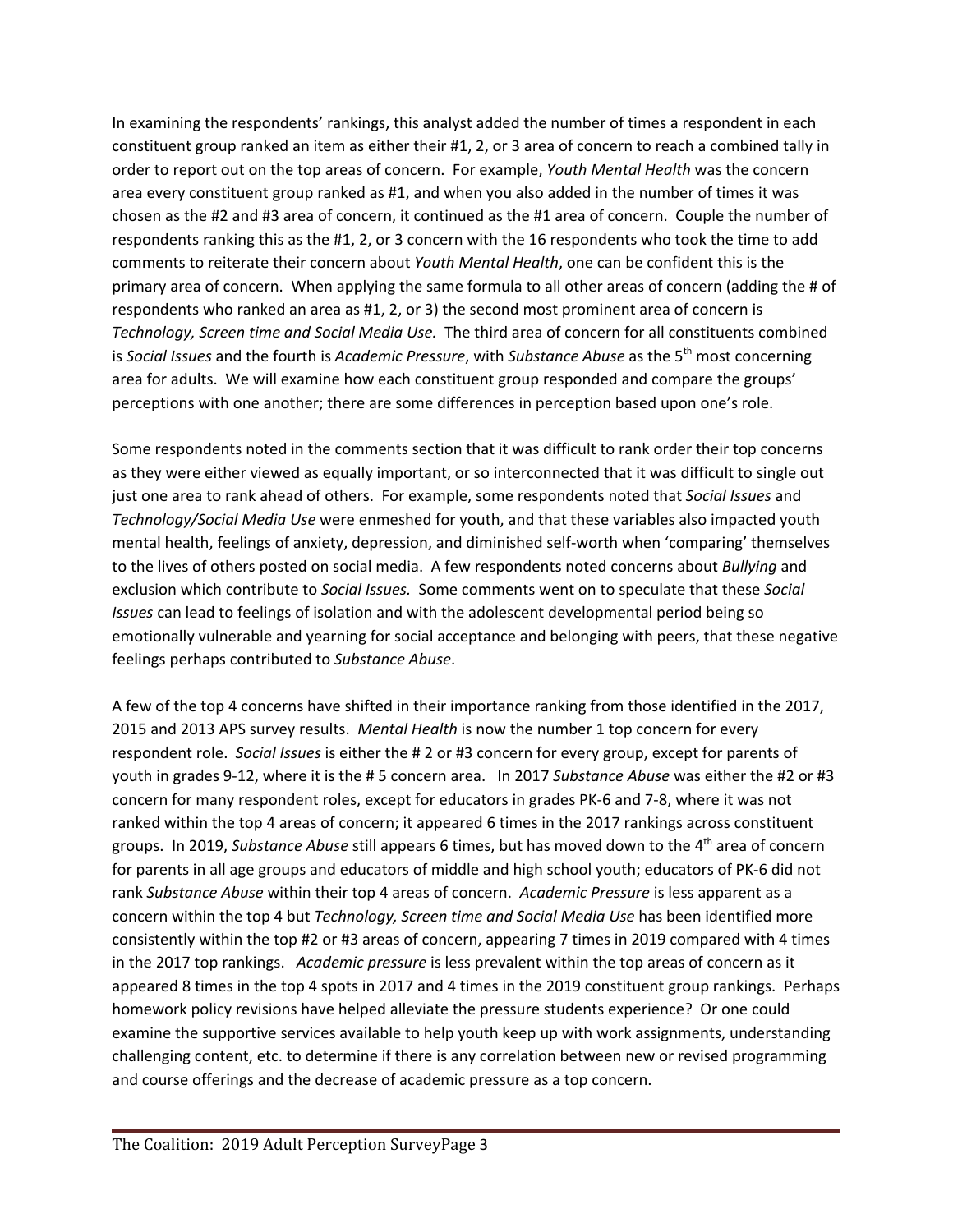In examining the respondents' rankings, this analyst added the number of times a respondent in each constituent group ranked an item as either their #1, 2, or 3 area of concern to reach a combined tally in order to report out on the top areas of concern. For example, *Youth Mental Health* was the concern area every constituent group ranked as #1, and when you also added in the number of times it was chosen as the #2 and #3 area of concern, it continued as the #1 area of concern. Couple the number of respondents ranking this as the #1, 2, or 3 concern with the 16 respondents who took the time to add comments to reiterate their concern about *Youth Mental Health*, one can be confident this is the primary area of concern. When applying the same formula to all other areas of concern (adding the # of respondents who ranked an area as #1, 2, or 3) the second most prominent area of concern is *Technology, Screen time and Social Media Use.* The third area of concern for all constituents combined is *Social Issues* and the fourth is *Academic Pressure,* with *Substance Abuse* as the 5<sup>th</sup> most concerning area for adults. We will examine how each constituent group responded and compare the groups' perceptions with one another; there are some differences in perception based upon one's role.

Some respondents noted in the comments section that it was difficult to rank order their top concerns as they were either viewed as equally important, or so interconnected that it was difficult to single out just one area to rank ahead of others. For example, some respondents noted that *Social Issues* and *Technology/Social Media Use* were enmeshed for youth, and that these variables also impacted youth mental health, feelings of anxiety, depression, and diminished self-worth when 'comparing' themselves to the lives of others posted on social media. A few respondents noted concerns about *Bullying* and exclusion which contribute to *Social Issues.* Some comments went on to speculate that these *Social Issues* can lead to feelings of isolation and with the adolescent developmental period being so emotionally vulnerable and yearning for social acceptance and belonging with peers, that these negative feelings perhaps contributed to *Substance Abuse*.

A few of the top 4 concerns have shifted in their importance ranking from those identified in the 2017, 2015 and 2013 APS survey results. *Mental Health* is now the number 1 top concern for every respondent role. *Social Issues* is either the # 2 or #3 concern for every group, except for parents of youth in grades 9-12, where it is the # 5 concern area. In 2017 *Substance Abuse* was either the #2 or #3 concern for many respondent roles, except for educators in grades PK-6 and 7-8, where it was not ranked within the top 4 areas of concern; it appeared 6 times in the 2017 rankings across constituent groups. In 2019, Substance Abuse still appears 6 times, but has moved down to the 4<sup>th</sup> area of concern for parents in all age groups and educators of middle and high school youth; educators of PK-6 did not rank *Substance Abuse* within their top 4 areas of concern. *Academic Pressure* is less apparent as a concern within the top 4 but *Technology, Screen time and Social Media Use* has been identified more consistently within the top #2 or #3 areas of concern, appearing 7 times in 2019 compared with 4 times in the 2017 top rankings. *Academic pressure* is less prevalent within the top areas of concern as it appeared 8 times in the top 4 spots in 2017 and 4 times in the 2019 constituent group rankings. Perhaps homework policy revisions have helped alleviate the pressure students experience? Or one could examine the supportive services available to help youth keep up with work assignments, understanding challenging content, etc. to determine if there is any correlation between new or revised programming and course offerings and the decrease of academic pressure as a top concern.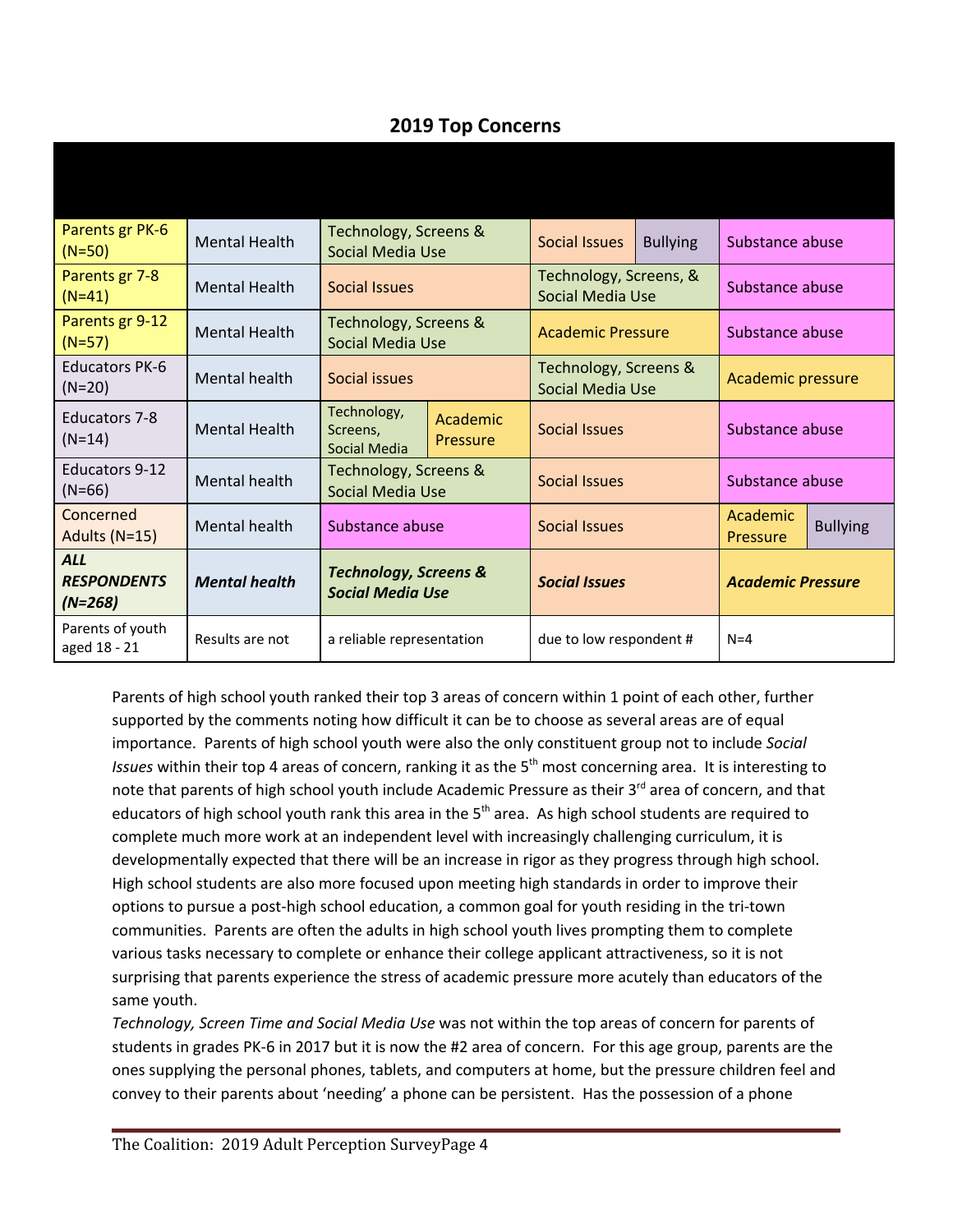# **2019 Top Concerns**

| Parents gr PK-6<br>$(N=50)$                   | <b>Mental Health</b> | Technology, Screens &<br>Social Media Use                   |                      | <b>Social Issues</b>                              | <b>Bullying</b> | Substance abuse          |                 |
|-----------------------------------------------|----------------------|-------------------------------------------------------------|----------------------|---------------------------------------------------|-----------------|--------------------------|-----------------|
| Parents gr 7-8<br>$(N=41)$                    | <b>Mental Health</b> | Social Issues                                               |                      | Technology, Screens, &<br><b>Social Media Use</b> |                 | Substance abuse          |                 |
| Parents gr 9-12<br>$(N=57)$                   | <b>Mental Health</b> | Technology, Screens &<br><b>Social Media Use</b>            |                      | <b>Academic Pressure</b>                          |                 | Substance abuse          |                 |
| <b>Educators PK-6</b><br>$(N=20)$             | Mental health        | Social issues                                               |                      | Technology, Screens &<br><b>Social Media Use</b>  |                 | Academic pressure        |                 |
| <b>Educators 7-8</b><br>$(N=14)$              | <b>Mental Health</b> | Technology,<br>Screens,<br><b>Social Media</b>              | Academic<br>Pressure | <b>Social Issues</b>                              |                 | Substance abuse          |                 |
| <b>Educators 9-12</b><br>$(N=66)$             | Mental health        | Technology, Screens &<br><b>Social Media Use</b>            |                      | Social Issues                                     |                 | Substance abuse          |                 |
| Concerned<br>Adults (N=15)                    | Mental health        | Substance abuse                                             |                      | Social Issues                                     |                 | Academic<br>Pressure     | <b>Bullying</b> |
| <b>ALL</b><br><b>RESPONDENTS</b><br>$(N=268)$ | <b>Mental health</b> | <b>Technology, Screens &amp;</b><br><b>Social Media Use</b> |                      | <b>Social Issues</b>                              |                 | <b>Academic Pressure</b> |                 |
| Parents of youth<br>aged 18 - 21              | Results are not      | a reliable representation                                   |                      | due to low respondent #                           |                 | $N = 4$                  |                 |

Parents of high school youth ranked their top 3 areas of concern within 1 point of each other, further supported by the comments noting how difficult it can be to choose as several areas are of equal importance. Parents of high school youth were also the only constituent group not to include *Social* Issues within their top 4 areas of concern, ranking it as the 5<sup>th</sup> most concerning area. It is interesting to note that parents of high school youth include Academic Pressure as their 3<sup>rd</sup> area of concern, and that educators of high school youth rank this area in the 5<sup>th</sup> area. As high school students are required to complete much more work at an independent level with increasingly challenging curriculum, it is developmentally expected that there will be an increase in rigor as they progress through high school. High school students are also more focused upon meeting high standards in order to improve their options to pursue a post-high school education, a common goal for youth residing in the tri-town communities. Parents are often the adults in high school youth lives prompting them to complete various tasks necessary to complete or enhance their college applicant attractiveness, so it is not surprising that parents experience the stress of academic pressure more acutely than educators of the same youth.

*Technology, Screen Time and Social Media Use* was not within the top areas of concern for parents of students in grades PK-6 in 2017 but it is now the #2 area of concern. For this age group, parents are the ones supplying the personal phones, tablets, and computers at home, but the pressure children feel and convey to their parents about 'needing' a phone can be persistent. Has the possession of a phone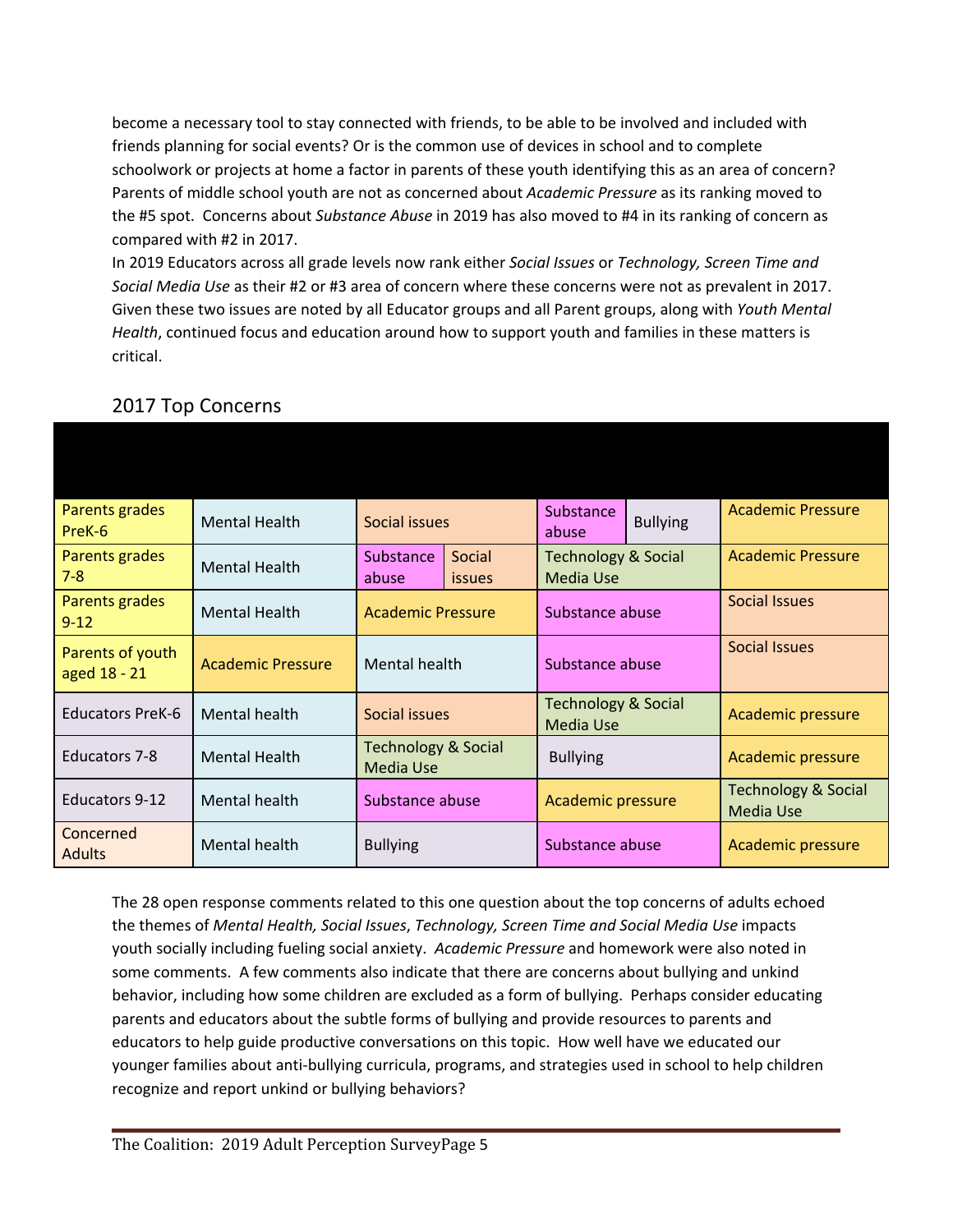become a necessary tool to stay connected with friends, to be able to be involved and included with friends planning for social events? Or is the common use of devices in school and to complete schoolwork or projects at home a factor in parents of these youth identifying this as an area of concern? Parents of middle school youth are not as concerned about *Academic Pressure* as its ranking moved to the #5 spot. Concerns about *Substance Abuse* in 2019 has also moved to #4 in its ranking of concern as compared with #2 in 2017.

In 2019 Educators across all grade levels now rank either *Social Issues* or *Technology, Screen Time and Social Media Use* as their #2 or #3 area of concern where these concerns were not as prevalent in 2017. Given these two issues are noted by all Educator groups and all Parent groups, along with *Youth Mental Health*, continued focus and education around how to support youth and families in these matters is critical.

| Parents grades<br>PreK-6         | Mental Health            | Social issues                                      |  | Substance<br>abuse                                 | <b>Bullying</b> | <b>Academic Pressure</b>                           |  |  |
|----------------------------------|--------------------------|----------------------------------------------------|--|----------------------------------------------------|-----------------|----------------------------------------------------|--|--|
| Parents grades<br>$7 - 8$        | <b>Mental Health</b>     | Substance<br>Social<br>abuse<br><i>issues</i>      |  | <b>Technology &amp; Social</b><br><b>Media Use</b> |                 | <b>Academic Pressure</b>                           |  |  |
| Parents grades<br>$9 - 12$       | <b>Mental Health</b>     | <b>Academic Pressure</b>                           |  | Substance abuse                                    |                 | <b>Social Issues</b>                               |  |  |
| Parents of youth<br>aged 18 - 21 | <b>Academic Pressure</b> | Mental health                                      |  | Substance abuse                                    |                 | <b>Social Issues</b>                               |  |  |
| <b>Educators PreK-6</b>          | Mental health            | Social issues                                      |  | <b>Technology &amp; Social</b><br><b>Media Use</b> |                 | <b>Academic pressure</b>                           |  |  |
| Educators 7-8                    | <b>Mental Health</b>     | <b>Technology &amp; Social</b><br><b>Media Use</b> |  | <b>Bullying</b>                                    |                 | Academic pressure                                  |  |  |
| Educators 9-12                   | Mental health            | Substance abuse                                    |  | Academic pressure                                  |                 | <b>Technology &amp; Social</b><br><b>Media Use</b> |  |  |
| Concerned<br><b>Adults</b>       | Mental health            | <b>Bullying</b>                                    |  | Substance abuse                                    |                 | Academic pressure                                  |  |  |

## 2017 Top Concerns

The 28 open response comments related to this one question about the top concerns of adults echoed the themes of *Mental Health, Social Issues*, *Technology, Screen Time and Social Media Use* impacts youth socially including fueling social anxiety. *Academic Pressure* and homework were also noted in some comments. A few comments also indicate that there are concerns about bullying and unkind behavior, including how some children are excluded as a form of bullying. Perhaps consider educating parents and educators about the subtle forms of bullying and provide resources to parents and educators to help guide productive conversations on this topic. How well have we educated our younger families about anti-bullying curricula, programs, and strategies used in school to help children recognize and report unkind or bullying behaviors?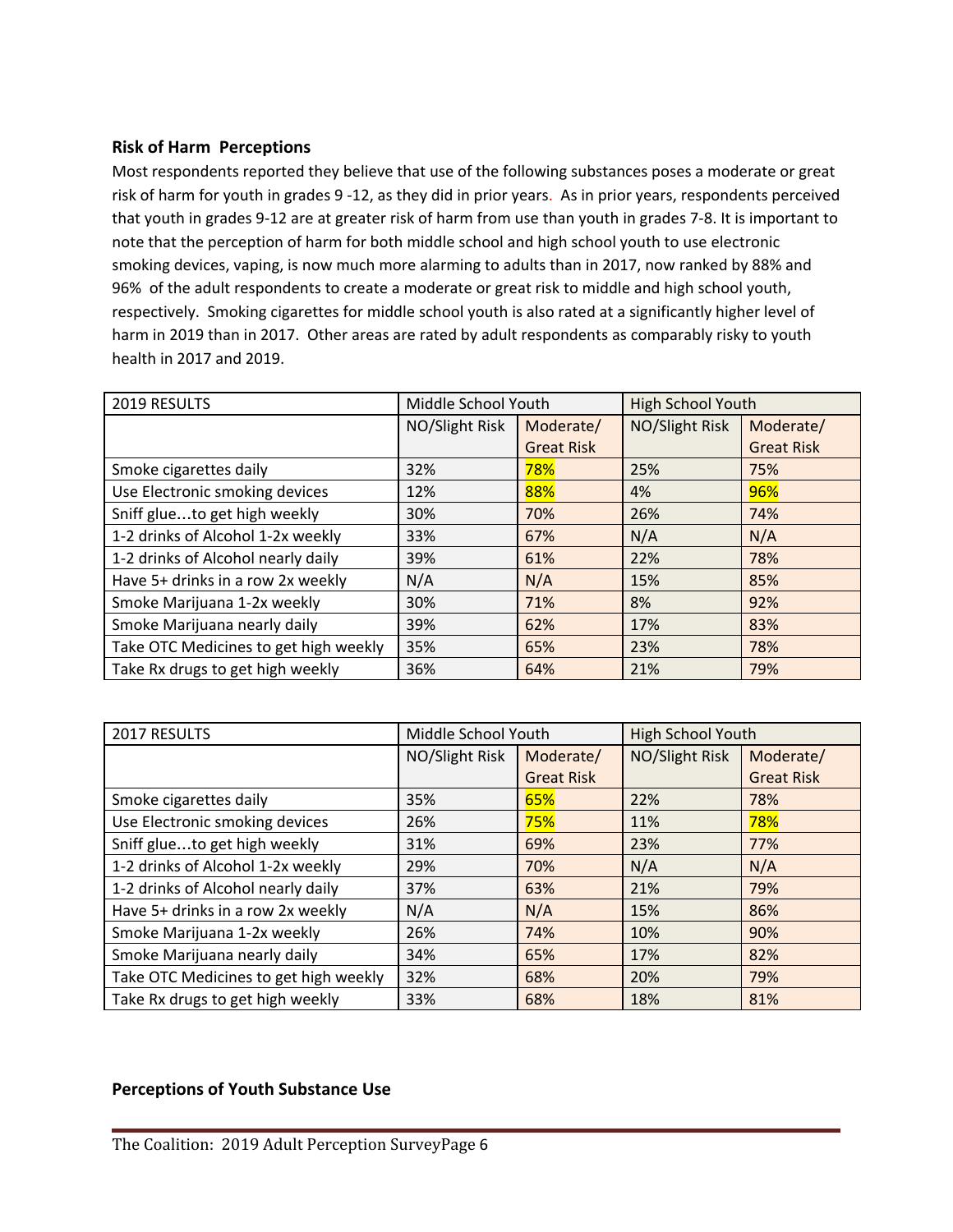#### **Risk of Harm Perceptions**

Most respondents reported they believe that use of the following substances poses a moderate or great risk of harm for youth in grades 9 -12, as they did in prior years. As in prior years, respondents perceived that youth in grades 9-12 are at greater risk of harm from use than youth in grades 7-8. It is important to note that the perception of harm for both middle school and high school youth to use electronic smoking devices, vaping, is now much more alarming to adults than in 2017, now ranked by 88% and 96% of the adult respondents to create a moderate or great risk to middle and high school youth, respectively. Smoking cigarettes for middle school youth is also rated at a significantly higher level of harm in 2019 than in 2017. Other areas are rated by adult respondents as comparably risky to youth health in 2017 and 2019.

| 2019 RESULTS                          | Middle School Youth |                   | <b>High School Youth</b> |                   |
|---------------------------------------|---------------------|-------------------|--------------------------|-------------------|
|                                       | NO/Slight Risk      | Moderate/         | NO/Slight Risk           | Moderate/         |
|                                       |                     | <b>Great Risk</b> |                          | <b>Great Risk</b> |
| Smoke cigarettes daily                | 32%                 | 78%               | 25%                      | 75%               |
| Use Electronic smoking devices        | 12%                 | 88%               | 4%                       | 96%               |
| Sniff glueto get high weekly          | 30%                 | 70%               | 26%                      | 74%               |
| 1-2 drinks of Alcohol 1-2x weekly     | 33%                 | 67%               | N/A                      | N/A               |
| 1-2 drinks of Alcohol nearly daily    | 39%                 | 61%               | 22%                      | 78%               |
| Have 5+ drinks in a row 2x weekly     | N/A                 | N/A               | 15%                      | 85%               |
| Smoke Marijuana 1-2x weekly           | 30%                 | 71%               | 8%                       | 92%               |
| Smoke Marijuana nearly daily          | 39%                 | 62%               | 17%                      | 83%               |
| Take OTC Medicines to get high weekly | 35%                 | 65%               | 23%                      | 78%               |
| Take Rx drugs to get high weekly      | 36%                 | 64%               | 21%                      | 79%               |

| 2017 RESULTS                          | Middle School Youth |                   | <b>High School Youth</b> |                   |
|---------------------------------------|---------------------|-------------------|--------------------------|-------------------|
|                                       | NO/Slight Risk      | Moderate/         | NO/Slight Risk           | Moderate/         |
|                                       |                     | <b>Great Risk</b> |                          | <b>Great Risk</b> |
| Smoke cigarettes daily                | 35%                 | 65%               | 22%                      | 78%               |
| Use Electronic smoking devices        | 26%                 | 75%               | 11%                      | 78%               |
| Sniff glueto get high weekly          | 31%                 | 69%               | 23%                      | 77%               |
| 1-2 drinks of Alcohol 1-2x weekly     | 29%                 | 70%               | N/A                      | N/A               |
| 1-2 drinks of Alcohol nearly daily    | 37%                 | 63%               | 21%                      | 79%               |
| Have 5+ drinks in a row 2x weekly     | N/A                 | N/A               | 15%                      | 86%               |
| Smoke Marijuana 1-2x weekly           | 26%                 | 74%               | 10%                      | 90%               |
| Smoke Marijuana nearly daily          | 34%                 | 65%               | 17%                      | 82%               |
| Take OTC Medicines to get high weekly | 32%                 | 68%               | 20%                      | 79%               |
| Take Rx drugs to get high weekly      | 33%                 | 68%               | 18%                      | 81%               |

#### **Perceptions of Youth Substance Use**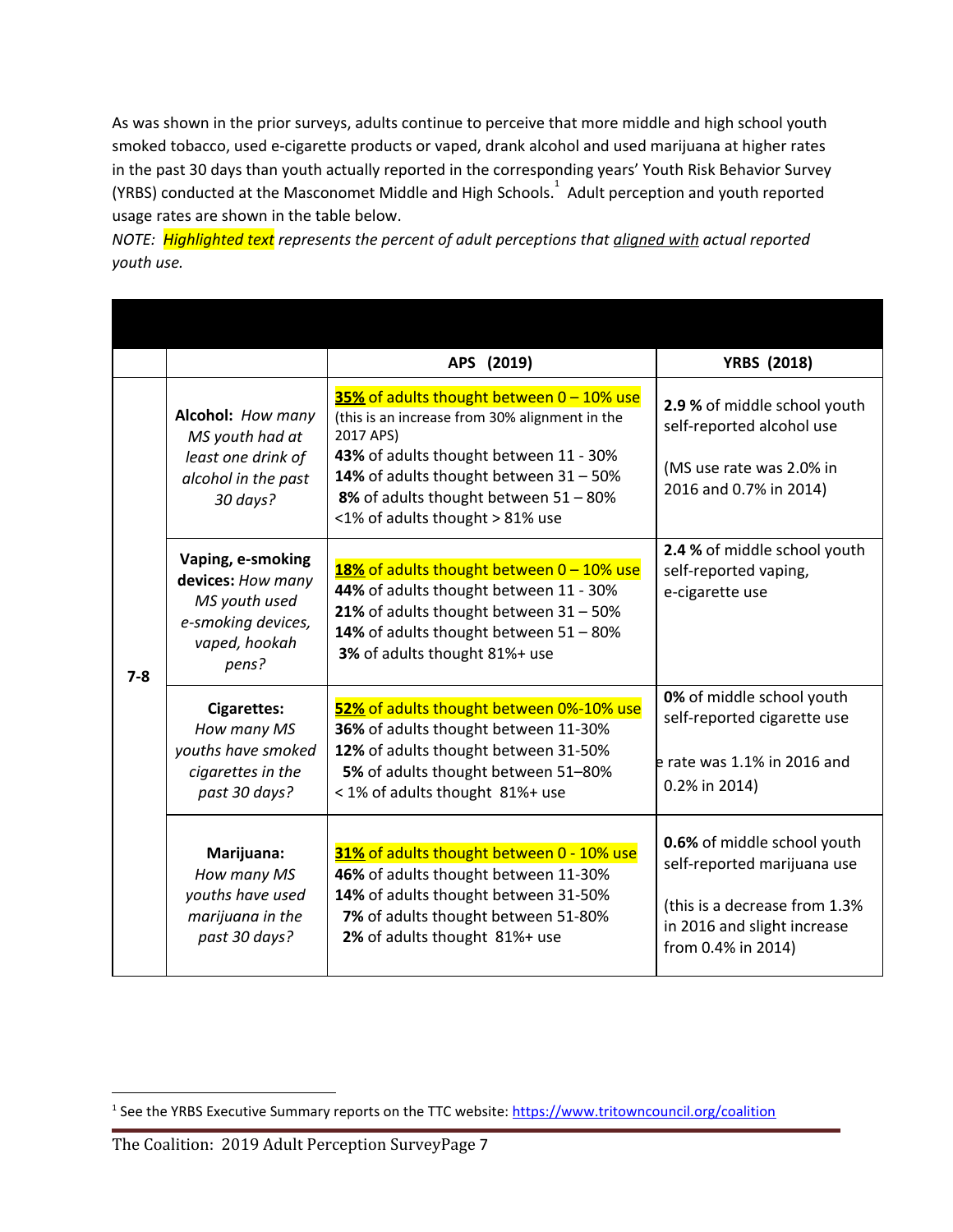As was shown in the prior surveys, adults continue to perceive that more middle and high school youth smoked tobacco, used e-cigarette products or vaped, drank alcohol and used marijuana at higher rates in the past 30 days than youth actually reported in the corresponding years' Youth Risk Behavior Survey (YRBS) conducted at the Masconomet Middle and High Schools.<sup>1</sup> Adult perception and youth reported usage rates are shown in the table below.

*NOTE: Highlighted text represents the percent of adult perceptions that aligned with actual reported youth use.*

|         |                                                                                                                                                                                                                                                                                                     |                                                                                                                                                                                                                                                                                         | APS (2019)                                                                                                                                                                                                                                                               | <b>YRBS (2018)</b>                                                                                                                               |
|---------|-----------------------------------------------------------------------------------------------------------------------------------------------------------------------------------------------------------------------------------------------------------------------------------------------------|-----------------------------------------------------------------------------------------------------------------------------------------------------------------------------------------------------------------------------------------------------------------------------------------|--------------------------------------------------------------------------------------------------------------------------------------------------------------------------------------------------------------------------------------------------------------------------|--------------------------------------------------------------------------------------------------------------------------------------------------|
|         |                                                                                                                                                                                                                                                                                                     | Alcohol: How many<br>MS youth had at<br>least one drink of<br>alcohol in the past<br>30 days?                                                                                                                                                                                           | 35% of adults thought between 0 - 10% use<br>(this is an increase from 30% alignment in the<br>2017 APS)<br>43% of adults thought between 11 - 30%<br>14% of adults thought between 31 - 50%<br>8% of adults thought between 51 - 80%<br><1% of adults thought > 81% use | 2.9 % of middle school youth<br>self-reported alcohol use<br>(MS use rate was 2.0% in<br>2016 and 0.7% in 2014)                                  |
| $7 - 8$ | Vaping, e-smoking<br>devices: How many<br>MS youth used<br>e-smoking devices,<br>vaped, hookah<br>pens?                                                                                                                                                                                             | 18% of adults thought between 0 - 10% use<br>44% of adults thought between 11 - 30%<br>21% of adults thought between $31 - 50%$<br>14% of adults thought between 51 - 80%<br>3% of adults thought 81%+ use                                                                              | 2.4 % of middle school youth<br>self-reported vaping,<br>e-cigarette use                                                                                                                                                                                                 |                                                                                                                                                  |
|         | 52% of adults thought between 0%-10% use<br><b>Cigarettes:</b><br>36% of adults thought between 11-30%<br>How many MS<br>12% of adults thought between 31-50%<br>youths have smoked<br>5% of adults thought between 51-80%<br>cigarettes in the<br>past 30 days?<br>< 1% of adults thought 81%+ use |                                                                                                                                                                                                                                                                                         | 0% of middle school youth<br>self-reported cigarette use<br>e rate was 1.1% in 2016 and<br>0.2% in 2014)                                                                                                                                                                 |                                                                                                                                                  |
|         |                                                                                                                                                                                                                                                                                                     | 31% of adults thought between 0 - 10% use<br>Marijuana:<br>How many MS<br>46% of adults thought between 11-30%<br>youths have used<br>14% of adults thought between 31-50%<br>marijuana in the<br>7% of adults thought between 51-80%<br>past 30 days?<br>2% of adults thought 81%+ use |                                                                                                                                                                                                                                                                          | 0.6% of middle school youth<br>self-reported marijuana use<br>(this is a decrease from 1.3%<br>in 2016 and slight increase<br>from 0.4% in 2014) |

<sup>&</sup>lt;sup>1</sup> See the YRBS Executive Summary reports on the TTC website: <https://www.tritowncouncil.org/coalition>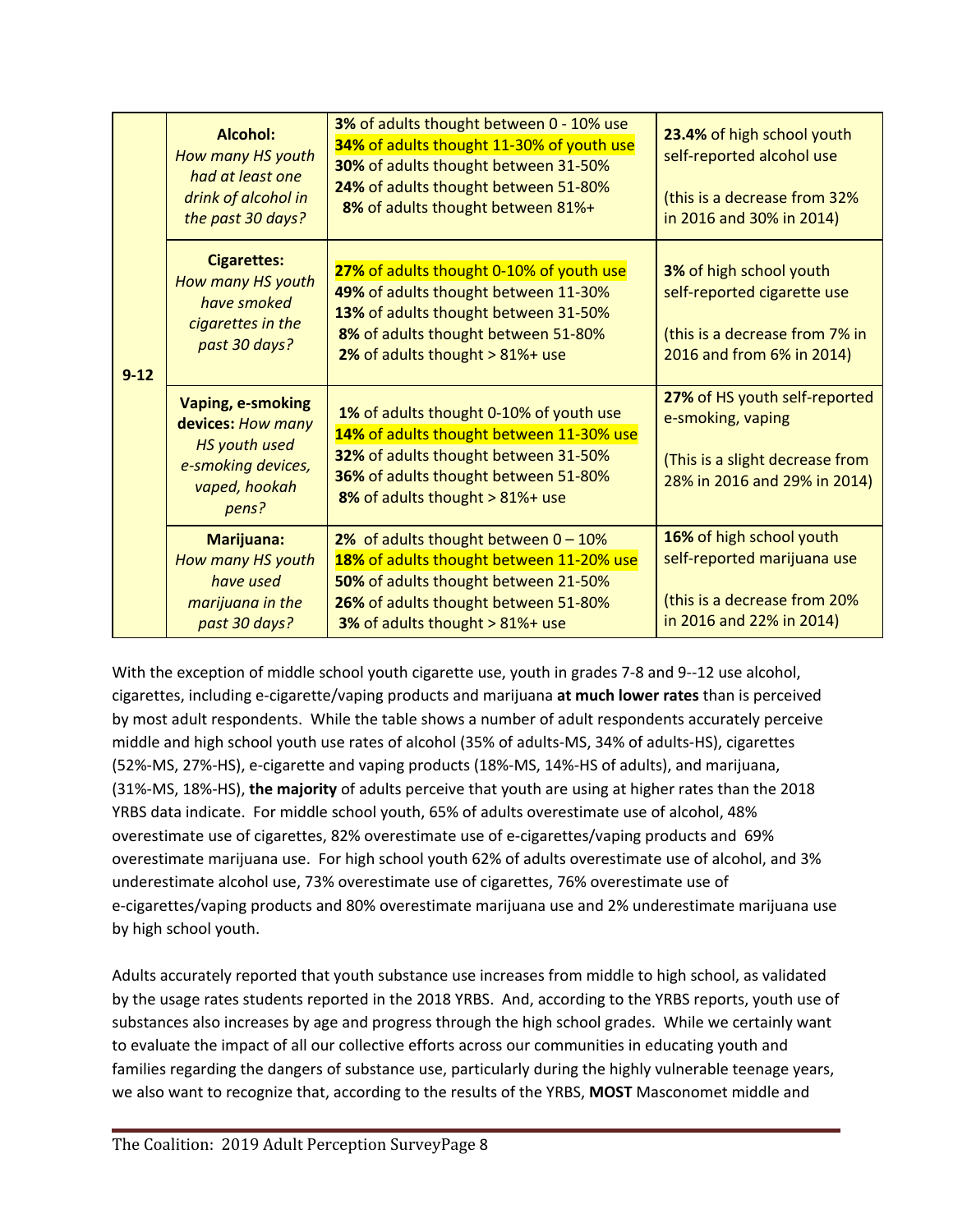| $9-12$ | <b>Alcohol:</b><br>How many HS youth<br>had at least one<br>drink of alcohol in<br>the past 30 days?                  | 23.4% of high school youth<br>self-reported alcohol use<br>(this is a decrease from 32%<br>in 2016 and 30% in 2014)                                                                                    |                                                                                                                              |
|--------|-----------------------------------------------------------------------------------------------------------------------|--------------------------------------------------------------------------------------------------------------------------------------------------------------------------------------------------------|------------------------------------------------------------------------------------------------------------------------------|
|        | <b>Cigarettes:</b><br>How many HS youth<br>have smoked<br>cigarettes in the<br>past 30 days?                          | 27% of adults thought 0-10% of youth use<br>49% of adults thought between 11-30%<br>13% of adults thought between 31-50%<br>8% of adults thought between 51-80%<br>2% of adults thought > 81%+ use     | <b>3%</b> of high school youth<br>self-reported cigarette use<br>(this is a decrease from 7% in<br>2016 and from 6% in 2014) |
|        | <b>Vaping, e-smoking</b><br>devices: How many<br><b>HS</b> youth used<br>e-smoking devices,<br>vaped, hookah<br>pens? | 1% of adults thought 0-10% of youth use<br>14% of adults thought between 11-30% use<br>32% of adults thought between 31-50%<br>36% of adults thought between 51-80%<br>8% of adults thought > 81%+ use | 27% of HS youth self-reported<br>e-smoking, vaping<br>(This is a slight decrease from<br>28% in 2016 and 29% in 2014)        |
|        | <b>Marijuana:</b><br>How many HS youth<br>have used<br>marijuana in the<br>past 30 days?                              | 2% of adults thought between $0 - 10\%$<br>18% of adults thought between 11-20% use<br>50% of adults thought between 21-50%<br>26% of adults thought between 51-80%<br>3% of adults thought > 81%+ use | 16% of high school youth<br>self-reported marijuana use<br>(this is a decrease from 20%<br>in 2016 and 22% in 2014)          |

With the exception of middle school youth cigarette use, youth in grades 7-8 and 9--12 use alcohol, cigarettes, including e-cigarette/vaping products and marijuana **at much lower rates** than is perceived by most adult respondents. While the table shows a number of adult respondents accurately perceive middle and high school youth use rates of alcohol (35% of adults-MS, 34% of adults-HS), cigarettes (52%-MS, 27%-HS), e-cigarette and vaping products (18%-MS, 14%-HS of adults), and marijuana, (31%-MS, 18%-HS), **the majority** of adults perceive that youth are using at higher rates than the 2018 YRBS data indicate. For middle school youth, 65% of adults overestimate use of alcohol, 48% overestimate use of cigarettes, 82% overestimate use of e-cigarettes/vaping products and 69% overestimate marijuana use. For high school youth 62% of adults overestimate use of alcohol, and 3% underestimate alcohol use, 73% overestimate use of cigarettes, 76% overestimate use of e-cigarettes/vaping products and 80% overestimate marijuana use and 2% underestimate marijuana use by high school youth.

Adults accurately reported that youth substance use increases from middle to high school, as validated by the usage rates students reported in the 2018 YRBS. And, according to the YRBS reports, youth use of substances also increases by age and progress through the high school grades. While we certainly want to evaluate the impact of all our collective efforts across our communities in educating youth and families regarding the dangers of substance use, particularly during the highly vulnerable teenage years, we also want to recognize that, according to the results of the YRBS, **MOST** Masconomet middle and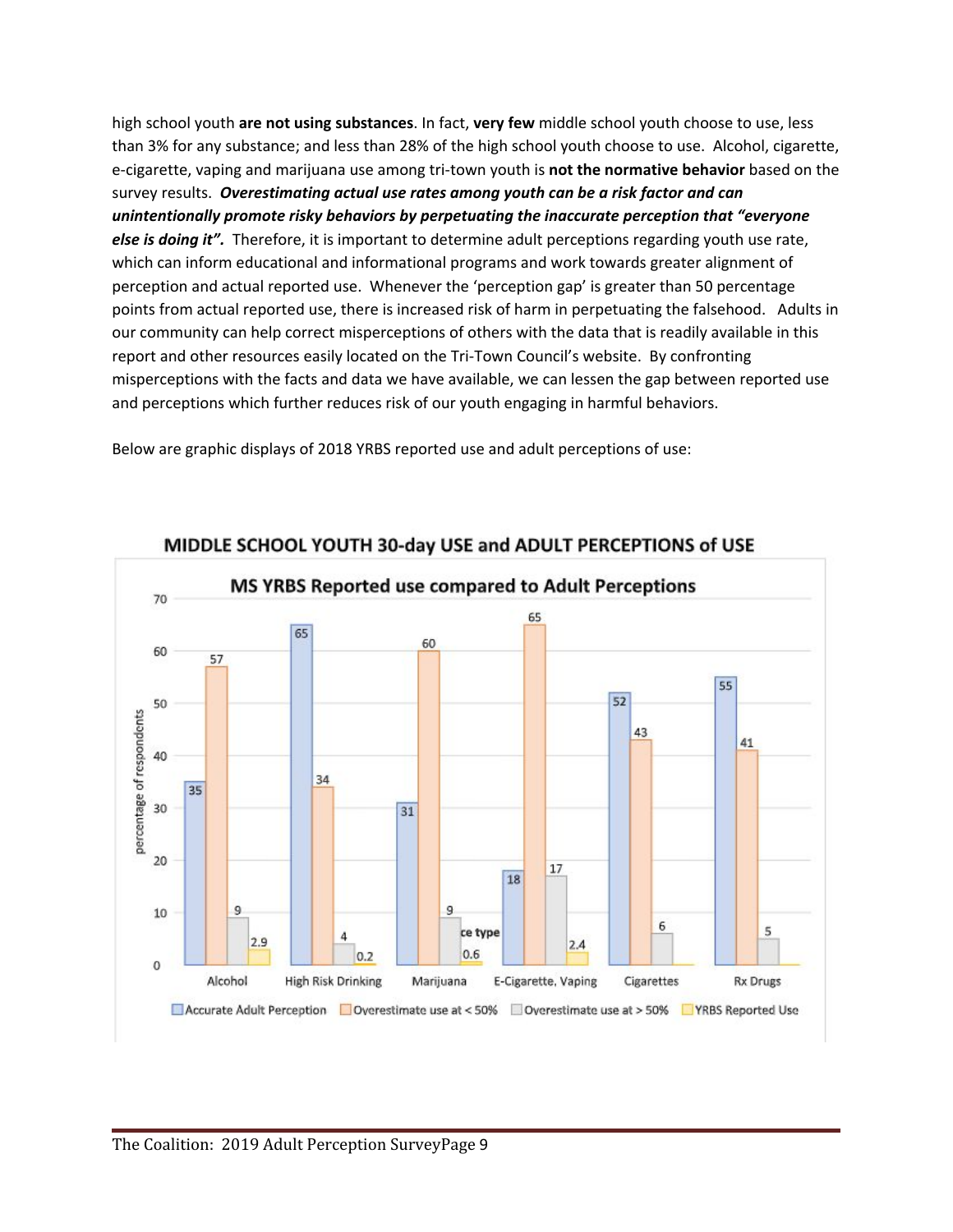high school youth **are not using substances**. In fact, **very few** middle school youth choose to use, less than 3% for any substance; and less than 28% of the high school youth choose to use. Alcohol, cigarette, e-cigarette, vaping and marijuana use among tri-town youth is **not the normative behavior** based on the survey results. *Overestimating actual use rates among youth can be a risk factor and can unintentionally promote risky behaviors by perpetuating the inaccurate perception that "everyone else is doing it".* Therefore, it is important to determine adult perceptions regarding youth use rate, which can inform educational and informational programs and work towards greater alignment of perception and actual reported use. Whenever the 'perception gap' is greater than 50 percentage points from actual reported use, there is increased risk of harm in perpetuating the falsehood. Adults in our community can help correct misperceptions of others with the data that is readily available in this report and other resources easily located on the Tri-Town Council's website. By confronting misperceptions with the facts and data we have available, we can lessen the gap between reported use and perceptions which further reduces risk of our youth engaging in harmful behaviors.

Below are graphic displays of 2018 YRBS reported use and adult perceptions of use:



MIDDLE SCHOOL YOUTH 30-day USE and ADULT PERCEPTIONS of USE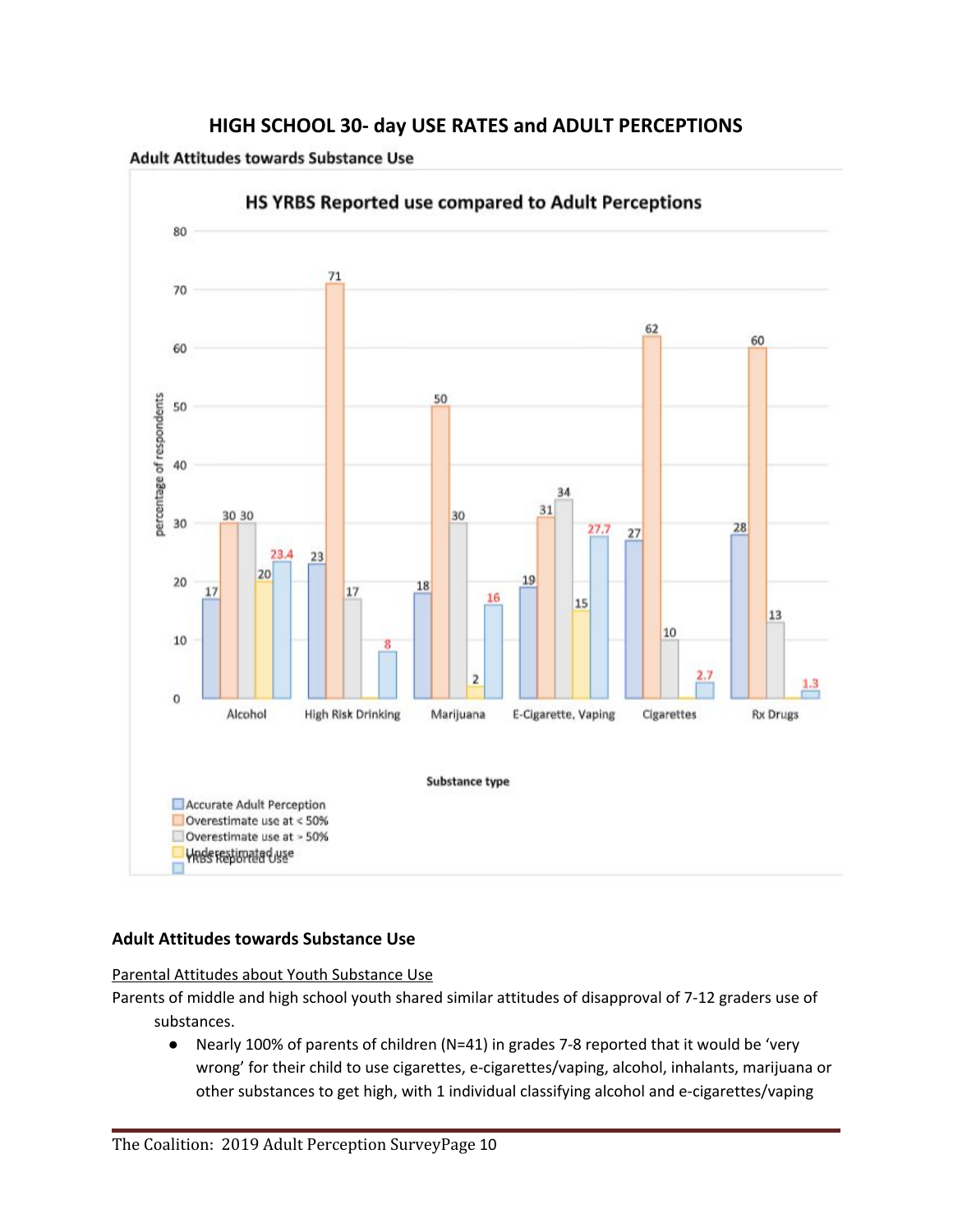

## **HIGH SCHOOL 30- day USE RATES and ADULT PERCEPTIONS**

**Adult Attitudes towards Substance Use** 

## **Adult Attitudes towards Substance Use**

Parental Attitudes about Youth Substance Use

Parents of middle and high school youth shared similar attitudes of disapproval of 7-12 graders use of substances.

● Nearly 100% of parents of children (N=41) in grades 7-8 reported that it would be 'very wrong' for their child to use cigarettes, e-cigarettes/vaping, alcohol, inhalants, marijuana or other substances to get high, with 1 individual classifying alcohol and e-cigarettes/vaping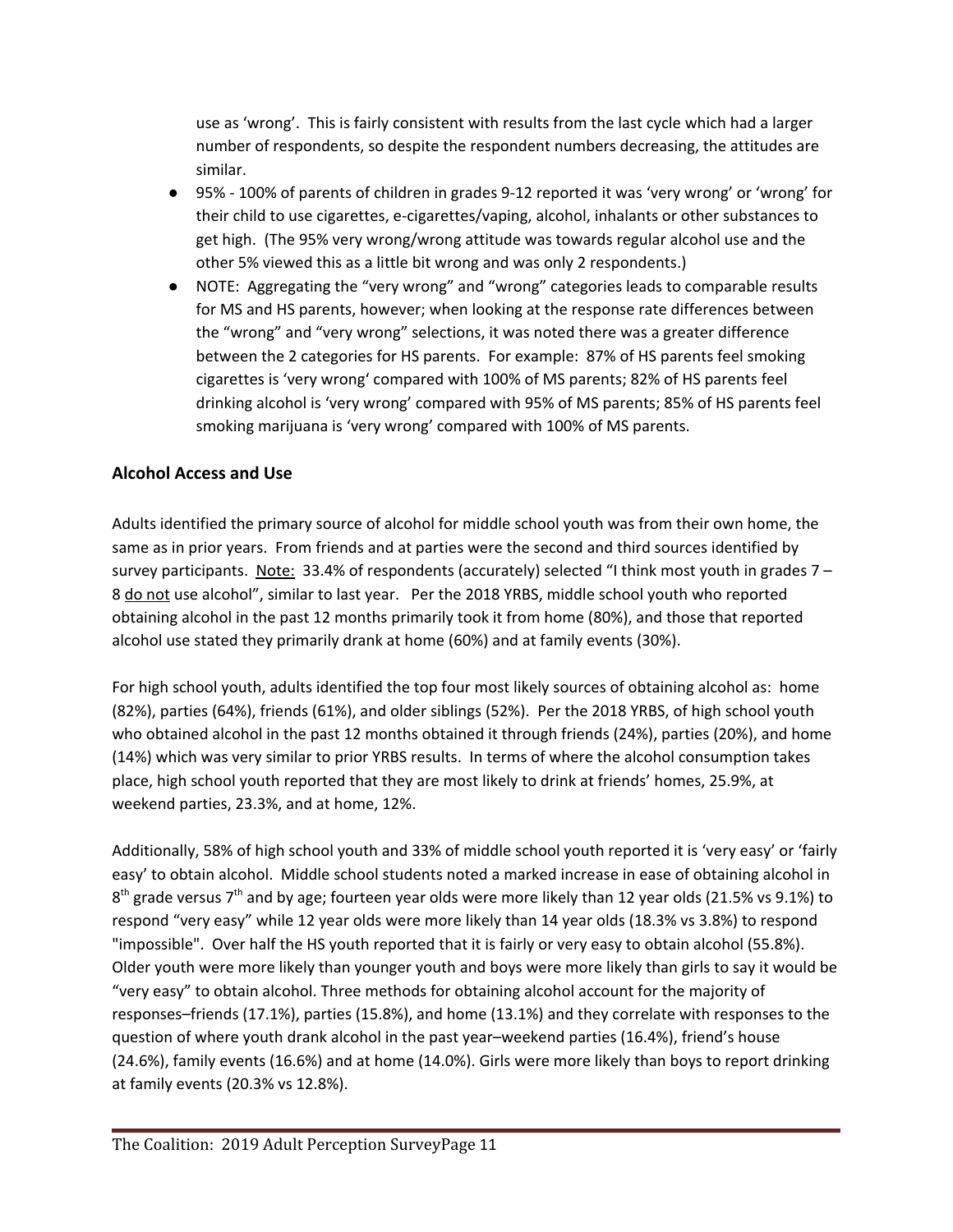use as 'wrong'. This is fairly consistent with results from the last cycle which had a larger number of respondents, so despite the respondent numbers decreasing, the attitudes are similar.

- 95% 100% of parents of children in grades 9-12 reported it was 'very wrong' or 'wrong' for their child to use cigarettes, e-cigarettes/vaping, alcohol, inhalants or other substances to get high. (The 95% very wrong/wrong attitude was towards regular alcohol use and the other 5% viewed this as a little bit wrong and was only 2 respondents.)
- NOTE: Aggregating the "very wrong" and "wrong" categories leads to comparable results for MS and HS parents, however; when looking at the response rate differences between the "wrong" and "very wrong" selections, it was noted there was a greater difference between the 2 categories for HS parents. For example: 87% of HS parents feel smoking cigarettes is 'very wrong' compared with 100% of MS parents; 82% of HS parents feel drinking alcohol is 'very wrong' compared with 95% of MS parents; 85% of HS parents feel smoking marijuana is 'very wrong' compared with 100% of MS parents.

## **Alcohol Access and Use**

Adults identified the primary source of alcohol for middle school youth was from their own home, the same as in prior years. From friends and at parties were the second and third sources identified by survey participants. Note: 33.4% of respondents (accurately) selected "I think most youth in grades  $7 -$ 8 do not use alcohol", similar to last year. Per the 2018 YRBS, middle school youth who reported obtaining alcohol in the past 12 months primarily took it from home (80%), and those that reported alcohol use stated they primarily drank at home (60%) and at family events (30%).

For high school youth, adults identified the top four most likely sources of obtaining alcohol as: home (82%), parties (64%), friends (61%), and older siblings (52%). Per the 2018 YRBS, of high school youth who obtained alcohol in the past 12 months obtained it through friends (24%), parties (20%), and home (14%) which was very similar to prior YRBS results. In terms of where the alcohol consumption takes place, high school youth reported that they are most likely to drink at friends' homes, 25.9%, at weekend parties, 23.3%, and at home, 12%.

Additionally, 58% of high school youth and 33% of middle school youth reported it is 'very easy' or 'fairly easy' to obtain alcohol. Middle school students noted a marked increase in ease of obtaining alcohol in 8<sup>th</sup> grade versus 7<sup>th</sup> and by age; fourteen year olds were more likely than 12 year olds (21.5% vs 9.1%) to respond "very easy" while 12 year olds were more likely than 14 year olds (18.3% vs 3.8%) to respond "impossible". Over half the HS youth reported that it is fairly or very easy to obtain alcohol (55.8%). Older youth were more likely than younger youth and boys were more likely than girls to say it would be "very easy" to obtain alcohol. Three methods for obtaining alcohol account for the majority of responses–friends (17.1%), parties (15.8%), and home (13.1%) and they correlate with responses to the question of where youth drank alcohol in the past year–weekend parties (16.4%), friend's house (24.6%), family events (16.6%) and at home (14.0%). Girls were more likely than boys to report drinking at family events (20.3% vs 12.8%).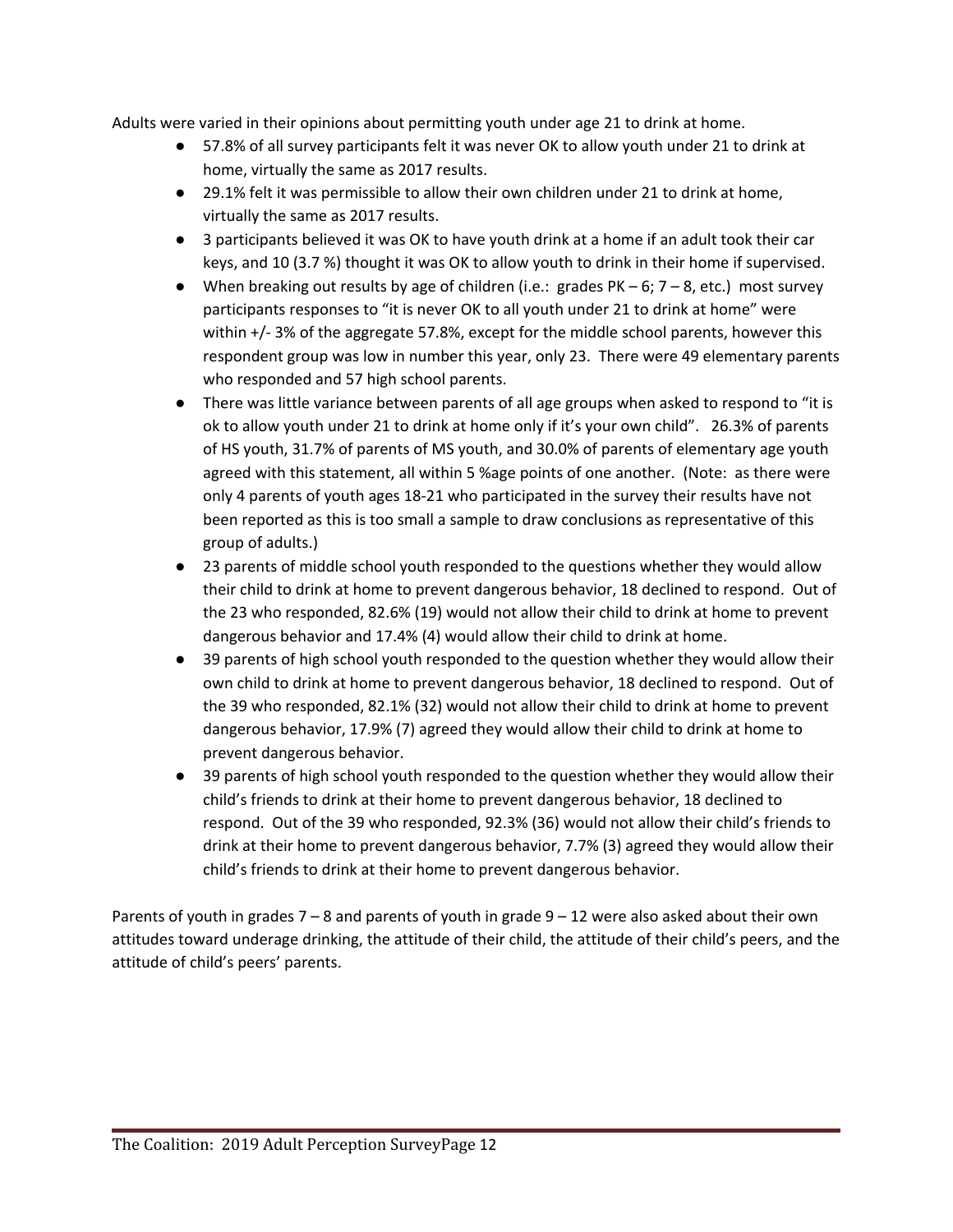Adults were varied in their opinions about permitting youth under age 21 to drink at home.

- 57.8% of all survey participants felt it was never OK to allow youth under 21 to drink at home, virtually the same as 2017 results.
- 29.1% felt it was permissible to allow their own children under 21 to drink at home, virtually the same as 2017 results.
- 3 participants believed it was OK to have youth drink at a home if an adult took their car keys, and 10 (3.7 %) thought it was OK to allow youth to drink in their home if supervised.
- $\bullet$  When breaking out results by age of children (i.e.: grades PK 6; 7 8, etc.) most survey participants responses to "it is never OK to all youth under 21 to drink at home" were within +/- 3% of the aggregate 57.8%, except for the middle school parents, however this respondent group was low in number this year, only 23. There were 49 elementary parents who responded and 57 high school parents.
- There was little variance between parents of all age groups when asked to respond to "it is ok to allow youth under 21 to drink at home only if it's your own child". 26.3% of parents of HS youth, 31.7% of parents of MS youth, and 30.0% of parents of elementary age youth agreed with this statement, all within 5 %age points of one another. (Note: as there were only 4 parents of youth ages 18-21 who participated in the survey their results have not been reported as this is too small a sample to draw conclusions as representative of this group of adults.)
- 23 parents of middle school youth responded to the questions whether they would allow their child to drink at home to prevent dangerous behavior, 18 declined to respond. Out of the 23 who responded, 82.6% (19) would not allow their child to drink at home to prevent dangerous behavior and 17.4% (4) would allow their child to drink at home.
- 39 parents of high school youth responded to the question whether they would allow their own child to drink at home to prevent dangerous behavior, 18 declined to respond. Out of the 39 who responded, 82.1% (32) would not allow their child to drink at home to prevent dangerous behavior, 17.9% (7) agreed they would allow their child to drink at home to prevent dangerous behavior.
- 39 parents of high school youth responded to the question whether they would allow their child's friends to drink at their home to prevent dangerous behavior, 18 declined to respond. Out of the 39 who responded, 92.3% (36) would not allow their child's friends to drink at their home to prevent dangerous behavior, 7.7% (3) agreed they would allow their child's friends to drink at their home to prevent dangerous behavior.

Parents of youth in grades  $7 - 8$  and parents of youth in grade  $9 - 12$  were also asked about their own attitudes toward underage drinking, the attitude of their child, the attitude of their child's peers, and the attitude of child's peers' parents.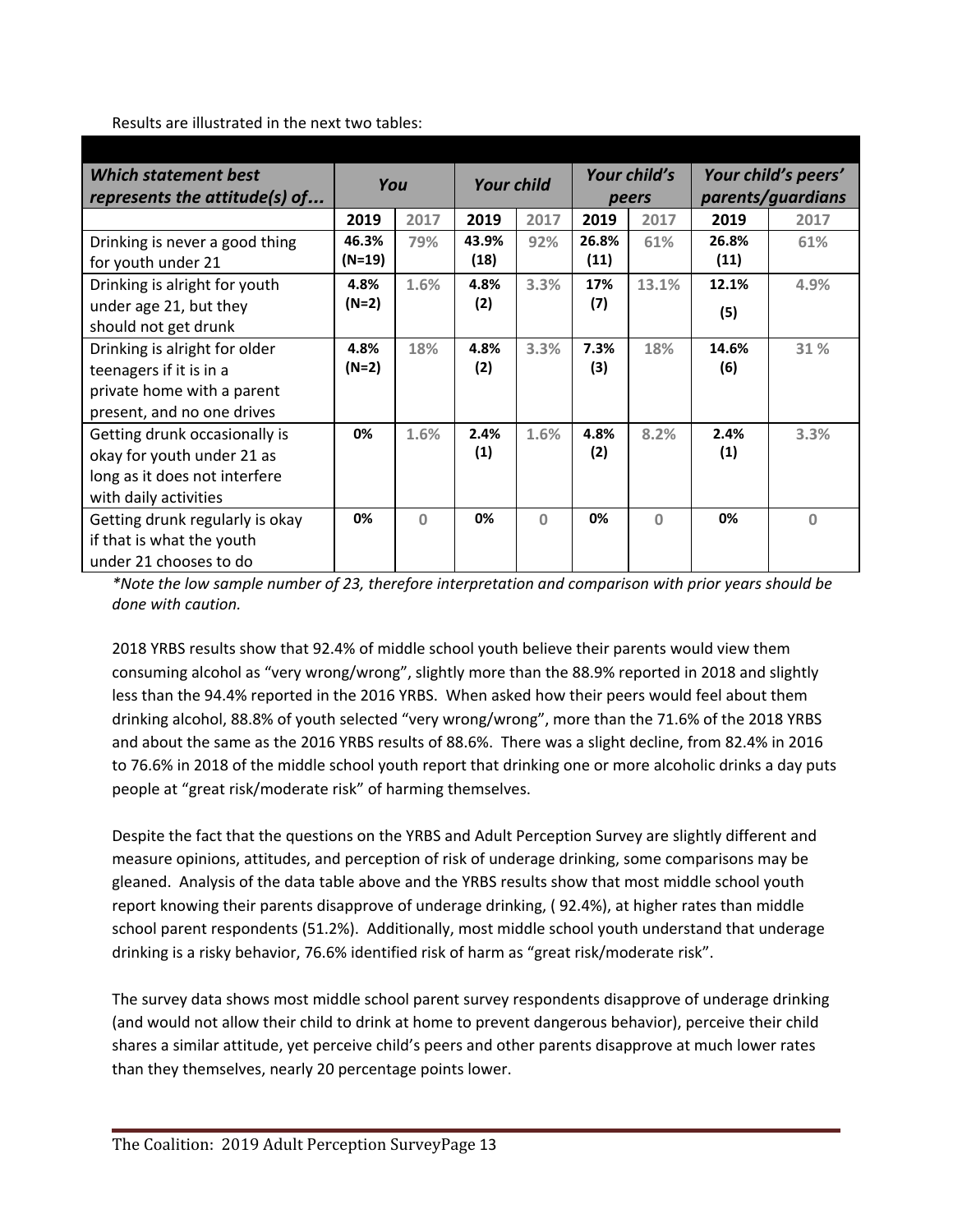Results are illustrated in the next two tables:

| <b>Which statement best</b><br>represents the attitude(s) of | You     |          | <b>Your child</b> |          | Your child's<br>peers |          | Your child's peers'<br>parents/guardians |          |
|--------------------------------------------------------------|---------|----------|-------------------|----------|-----------------------|----------|------------------------------------------|----------|
|                                                              | 2019    | 2017     | 2019              | 2017     | 2019                  | 2017     | 2019                                     | 2017     |
| Drinking is never a good thing                               | 46.3%   | 79%      | 43.9%             | 92%      | 26.8%                 | 61%      | 26.8%                                    | 61%      |
| for youth under 21                                           | (N=19)  |          | (18)              |          | (11)                  |          | (11)                                     |          |
| Drinking is alright for youth                                | 4.8%    | 1.6%     | 4.8%              | 3.3%     | 17%                   | 13.1%    | 12.1%                                    | 4.9%     |
| under age 21, but they                                       | $(N=2)$ |          | (2)               |          | (7)                   |          | (5)                                      |          |
| should not get drunk                                         |         |          |                   |          |                       |          |                                          |          |
| Drinking is alright for older                                | 4.8%    | 18%      | 4.8%              | 3.3%     | 7.3%                  | 18%      | 14.6%                                    | 31 %     |
| teenagers if it is in a                                      | (N=2)   |          | (2)               |          | (3)                   |          | (6)                                      |          |
| private home with a parent                                   |         |          |                   |          |                       |          |                                          |          |
| present, and no one drives                                   |         |          |                   |          |                       |          |                                          |          |
| Getting drunk occasionally is                                | 0%      | 1.6%     | 2.4%              | 1.6%     | 4.8%                  | 8.2%     | 2.4%                                     | 3.3%     |
| okay for youth under 21 as                                   |         |          | (1)               |          | (2)                   |          | (1)                                      |          |
| long as it does not interfere                                |         |          |                   |          |                       |          |                                          |          |
| with daily activities                                        |         |          |                   |          |                       |          |                                          |          |
| Getting drunk regularly is okay                              | 0%      | $\Omega$ | 0%                | $\Omega$ | 0%                    | $\Omega$ | 0%                                       | $\Omega$ |
| if that is what the youth                                    |         |          |                   |          |                       |          |                                          |          |
| under 21 chooses to do                                       |         |          |                   |          |                       |          |                                          |          |

*\*Note the low sample number of 23, therefore interpretation and comparison with prior years should be done with caution.*

2018 YRBS results show that 92.4% of middle school youth believe their parents would view them consuming alcohol as "very wrong/wrong", slightly more than the 88.9% reported in 2018 and slightly less than the 94.4% reported in the 2016 YRBS. When asked how their peers would feel about them drinking alcohol, 88.8% of youth selected "very wrong/wrong", more than the 71.6% of the 2018 YRBS and about the same as the 2016 YRBS results of 88.6%. There was a slight decline, from 82.4% in 2016 to 76.6% in 2018 of the middle school youth report that drinking one or more alcoholic drinks a day puts people at "great risk/moderate risk" of harming themselves.

Despite the fact that the questions on the YRBS and Adult Perception Survey are slightly different and measure opinions, attitudes, and perception of risk of underage drinking, some comparisons may be gleaned. Analysis of the data table above and the YRBS results show that most middle school youth report knowing their parents disapprove of underage drinking, ( 92.4%), at higher rates than middle school parent respondents (51.2%). Additionally, most middle school youth understand that underage drinking is a risky behavior, 76.6% identified risk of harm as "great risk/moderate risk".

The survey data shows most middle school parent survey respondents disapprove of underage drinking (and would not allow their child to drink at home to prevent dangerous behavior), perceive their child shares a similar attitude, yet perceive child's peers and other parents disapprove at much lower rates than they themselves, nearly 20 percentage points lower.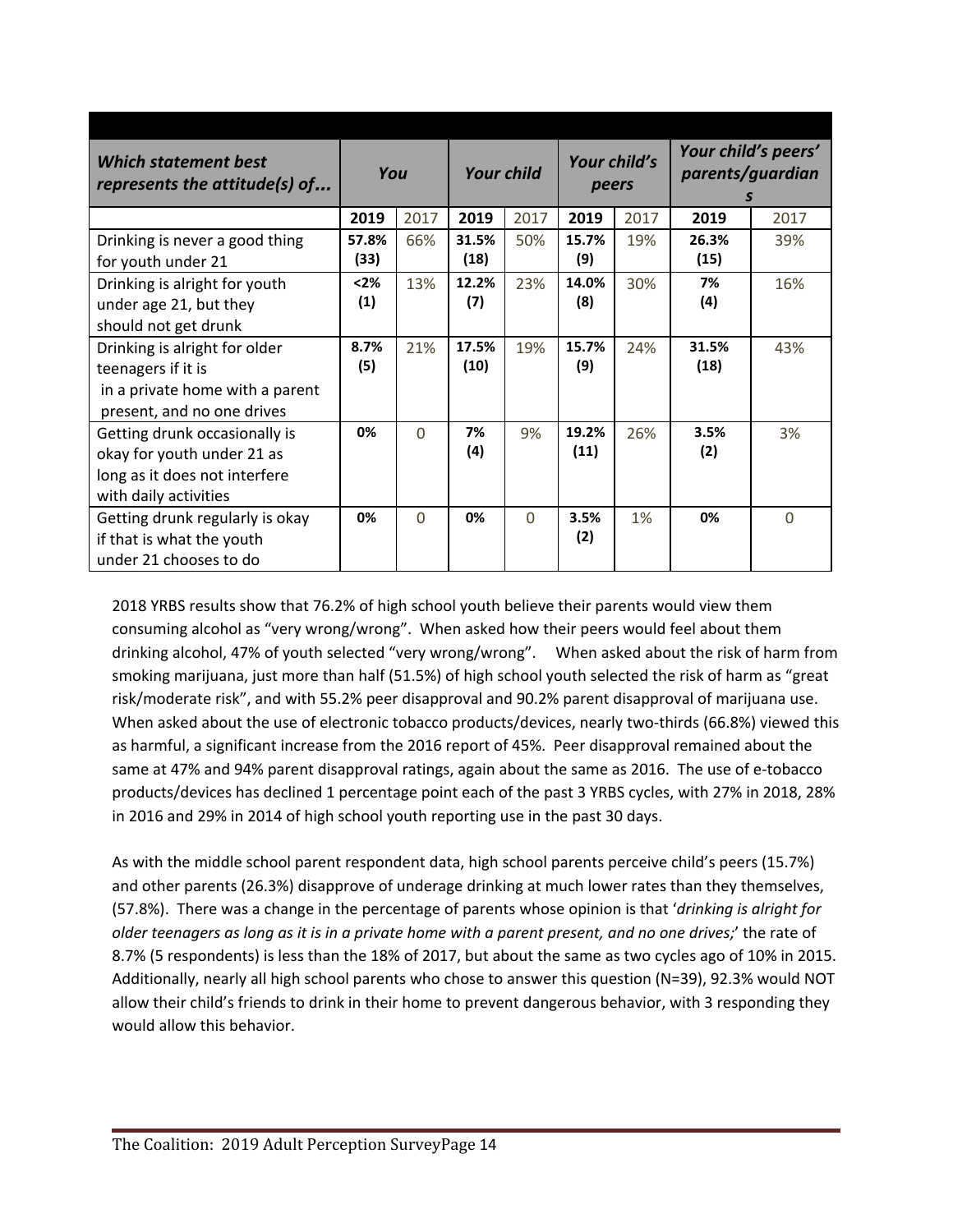| <b>Which statement best</b><br>represents the attitude(s) of                                                          | You           |          | <b>Your child</b> |          | Your child's<br>peers |      | Your child's peers'<br>parents/guardian<br>S |      |
|-----------------------------------------------------------------------------------------------------------------------|---------------|----------|-------------------|----------|-----------------------|------|----------------------------------------------|------|
|                                                                                                                       | 2019          | 2017     | 2019              | 2017     | 2019                  | 2017 | 2019                                         | 2017 |
| Drinking is never a good thing<br>for youth under 21                                                                  | 57.8%<br>(33) | 66%      | 31.5%<br>(18)     | 50%      | 15.7%<br>(9)          | 19%  | 26.3%<br>(15)                                | 39%  |
| Drinking is alright for youth<br>under age 21, but they<br>should not get drunk                                       | $2%$<br>(1)   | 13%      | 12.2%<br>(7)      | 23%      | 14.0%<br>(8)          | 30%  | 7%<br>(4)                                    | 16%  |
| Drinking is alright for older<br>teenagers if it is<br>in a private home with a parent<br>present, and no one drives  | 8.7%<br>(5)   | 21%      | 17.5%<br>(10)     | 19%      | 15.7%<br>(9)          | 24%  | 31.5%<br>(18)                                | 43%  |
| Getting drunk occasionally is<br>okay for youth under 21 as<br>long as it does not interfere<br>with daily activities | 0%            | $\Omega$ | 7%<br>(4)         | 9%       | 19.2%<br>(11)         | 26%  | 3.5%<br>(2)                                  | 3%   |
| Getting drunk regularly is okay<br>if that is what the youth<br>under 21 chooses to do                                | 0%            | $\Omega$ | 0%                | $\Omega$ | 3.5%<br>(2)           | 1%   | 0%                                           | 0    |

2018 YRBS results show that 76.2% of high school youth believe their parents would view them consuming alcohol as "very wrong/wrong". When asked how their peers would feel about them drinking alcohol, 47% of youth selected "very wrong/wrong". When asked about the risk of harm from smoking marijuana, just more than half (51.5%) of high school youth selected the risk of harm as "great risk/moderate risk", and with 55.2% peer disapproval and 90.2% parent disapproval of marijuana use. When asked about the use of electronic tobacco products/devices, nearly two-thirds (66.8%) viewed this as harmful, a significant increase from the 2016 report of 45%. Peer disapproval remained about the same at 47% and 94% parent disapproval ratings, again about the same as 2016. The use of e-tobacco products/devices has declined 1 percentage point each of the past 3 YRBS cycles, with 27% in 2018, 28% in 2016 and 29% in 2014 of high school youth reporting use in the past 30 days.

As with the middle school parent respondent data, high school parents perceive child's peers (15.7%) and other parents (26.3%) disapprove of underage drinking at much lower rates than they themselves, (57.8%). There was a change in the percentage of parents whose opinion is that '*drinking is alright for* older teenagers as long as it is in a private home with a parent present, and no one drives;' the rate of 8.7% (5 respondents) is less than the 18% of 2017, but about the same as two cycles ago of 10% in 2015. Additionally, nearly all high school parents who chose to answer this question (N=39), 92.3% would NOT allow their child's friends to drink in their home to prevent dangerous behavior, with 3 responding they would allow this behavior.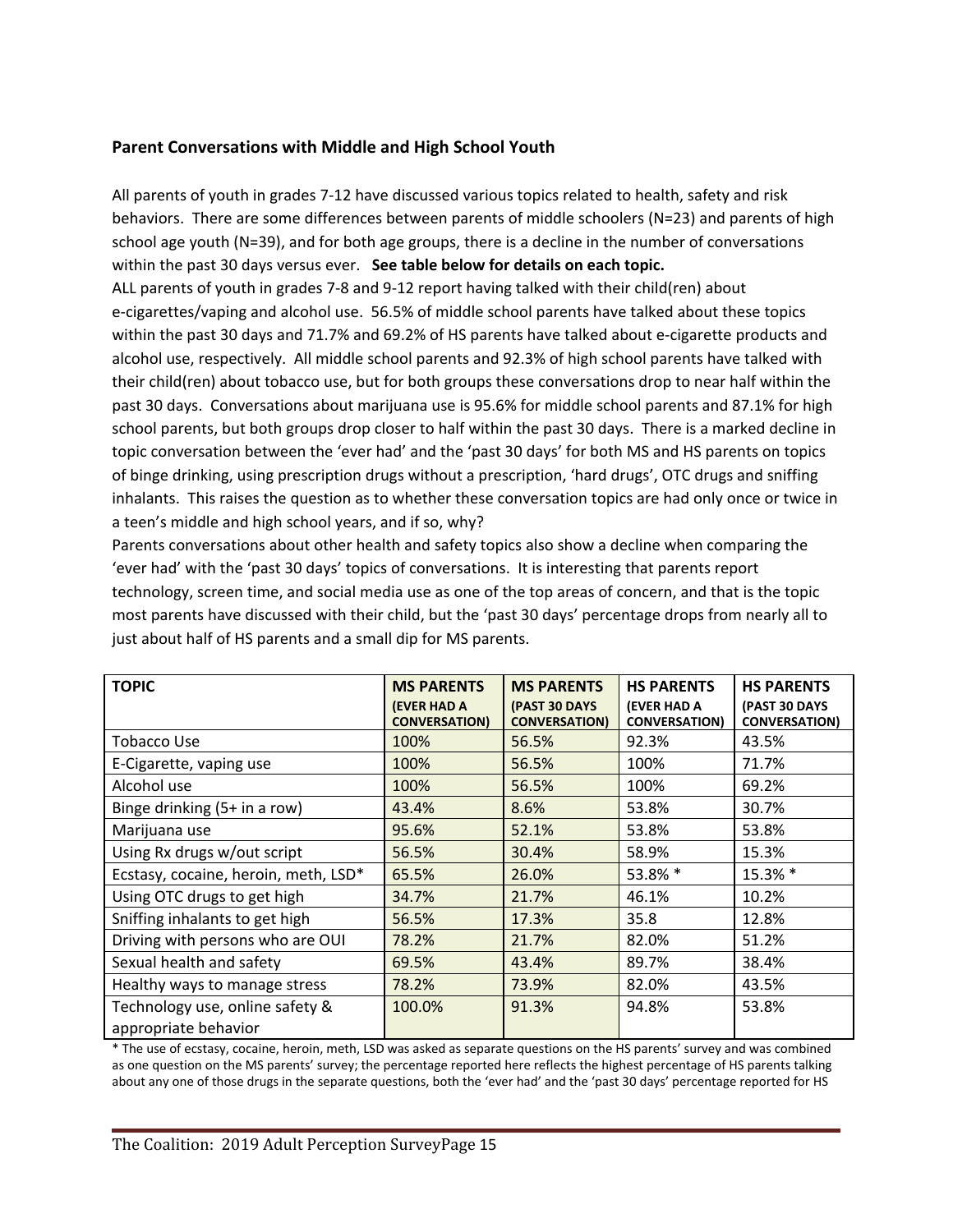### **Parent Conversations with Middle and High School Youth**

All parents of youth in grades 7-12 have discussed various topics related to health, safety and risk behaviors. There are some differences between parents of middle schoolers (N=23) and parents of high school age youth (N=39), and for both age groups, there is a decline in the number of conversations within the past 30 days versus ever. **See table below for details on each topic.**

ALL parents of youth in grades 7-8 and 9-12 report having talked with their child(ren) about e-cigarettes/vaping and alcohol use. 56.5% of middle school parents have talked about these topics within the past 30 days and 71.7% and 69.2% of HS parents have talked about e-cigarette products and alcohol use, respectively. All middle school parents and 92.3% of high school parents have talked with their child(ren) about tobacco use, but for both groups these conversations drop to near half within the past 30 days. Conversations about marijuana use is 95.6% for middle school parents and 87.1% for high school parents, but both groups drop closer to half within the past 30 days. There is a marked decline in topic conversation between the 'ever had' and the 'past 30 days' for both MS and HS parents on topics of binge drinking, using prescription drugs without a prescription, 'hard drugs', OTC drugs and sniffing inhalants. This raises the question as to whether these conversation topics are had only once or twice in a teen's middle and high school years, and if so, why?

Parents conversations about other health and safety topics also show a decline when comparing the 'ever had' with the 'past 30 days' topics of conversations. It is interesting that parents report technology, screen time, and social media use as one of the top areas of concern, and that is the topic most parents have discussed with their child, but the 'past 30 days' percentage drops from nearly all to just about half of HS parents and a small dip for MS parents.

| <b>TOPIC</b>                         | <b>MS PARENTS</b>                          | <b>MS PARENTS</b>                     | <b>HS PARENTS</b>                          | <b>HS PARENTS</b>                     |
|--------------------------------------|--------------------------------------------|---------------------------------------|--------------------------------------------|---------------------------------------|
|                                      | <b>(EVER HAD A</b><br><b>CONVERSATION)</b> | (PAST 30 DAYS<br><b>CONVERSATION)</b> | <b>(EVER HAD A</b><br><b>CONVERSATION)</b> | (PAST 30 DAYS<br><b>CONVERSATION)</b> |
| Tobacco Use                          | 100%                                       | 56.5%                                 | 92.3%                                      | 43.5%                                 |
| E-Cigarette, vaping use              | 100%                                       | 56.5%                                 | 100%                                       | 71.7%                                 |
| Alcohol use                          | 100%                                       | 56.5%                                 | 100%                                       | 69.2%                                 |
| Binge drinking (5+ in a row)         | 43.4%                                      | 8.6%                                  | 53.8%                                      | 30.7%                                 |
| Marijuana use                        | 95.6%                                      | 52.1%                                 | 53.8%                                      | 53.8%                                 |
| Using Rx drugs w/out script          | 56.5%                                      | 30.4%                                 | 58.9%                                      | 15.3%                                 |
| Ecstasy, cocaine, heroin, meth, LSD* | 65.5%                                      | 26.0%                                 | 53.8% *                                    | 15.3% *                               |
| Using OTC drugs to get high          | 34.7%                                      | 21.7%                                 | 46.1%                                      | 10.2%                                 |
| Sniffing inhalants to get high       | 56.5%                                      | 17.3%                                 | 35.8                                       | 12.8%                                 |
| Driving with persons who are OUI     | 78.2%                                      | 21.7%                                 | 82.0%                                      | 51.2%                                 |
| Sexual health and safety             | 69.5%                                      | 43.4%                                 | 89.7%                                      | 38.4%                                 |
| Healthy ways to manage stress        | 78.2%                                      | 73.9%                                 | 82.0%                                      | 43.5%                                 |
| Technology use, online safety &      | 100.0%                                     | 91.3%                                 | 94.8%                                      | 53.8%                                 |
| appropriate behavior                 |                                            |                                       |                                            |                                       |

\* The use of ecstasy, cocaine, heroin, meth, LSD was asked as separate questions on the HS parents' survey and was combined as one question on the MS parents' survey; the percentage reported here reflects the highest percentage of HS parents talking about any one of those drugs in the separate questions, both the 'ever had' and the 'past 30 days' percentage reported for HS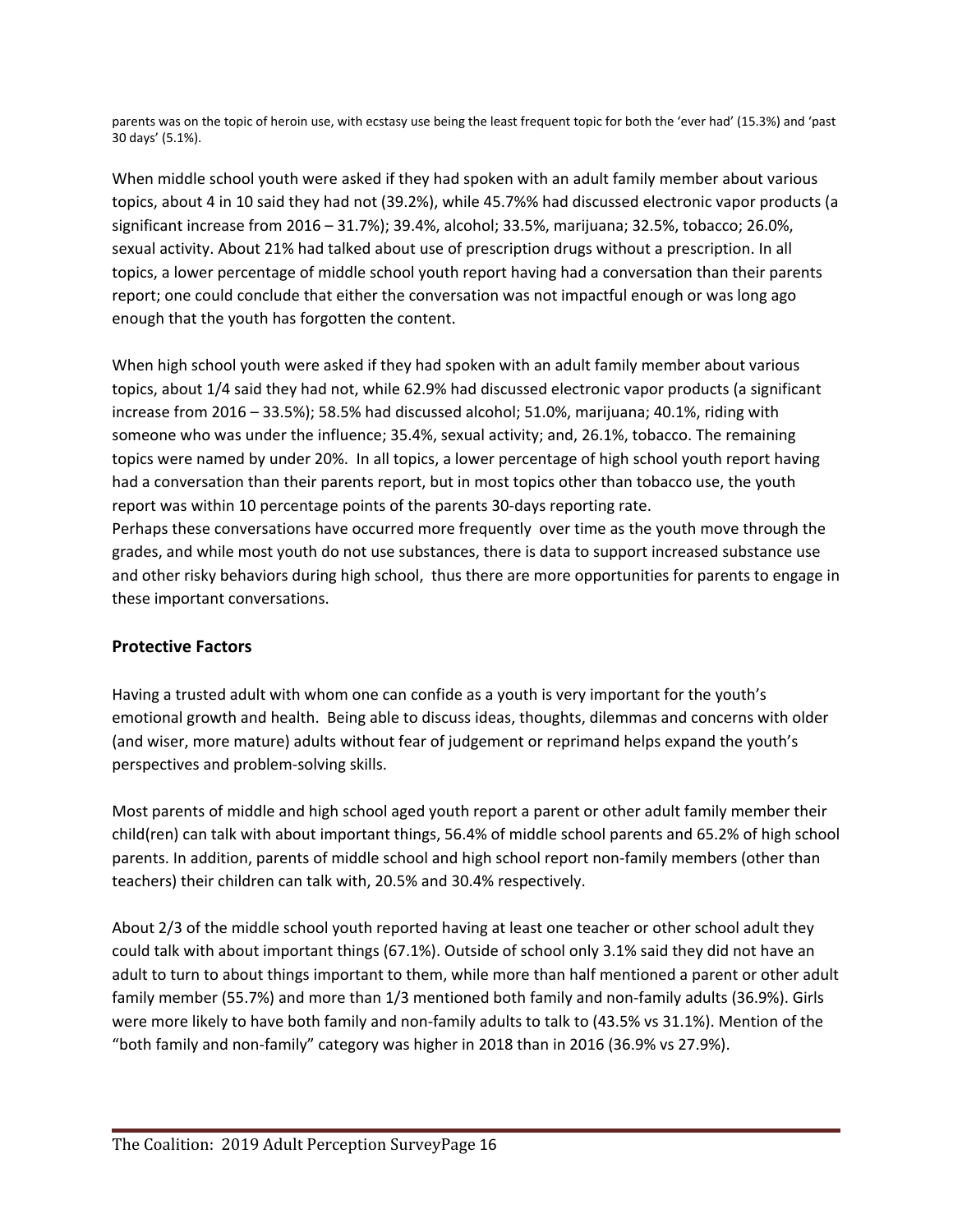parents was on the topic of heroin use, with ecstasy use being the least frequent topic for both the 'ever had' (15.3%) and 'past 30 days' (5.1%).

When middle school youth were asked if they had spoken with an adult family member about various topics, about 4 in 10 said they had not (39.2%), while 45.7%% had discussed electronic vapor products (a significant increase from 2016 – 31.7%); 39.4%, alcohol; 33.5%, marijuana; 32.5%, tobacco; 26.0%, sexual activity. About 21% had talked about use of prescription drugs without a prescription. In all topics, a lower percentage of middle school youth report having had a conversation than their parents report; one could conclude that either the conversation was not impactful enough or was long ago enough that the youth has forgotten the content.

When high school youth were asked if they had spoken with an adult family member about various topics, about 1/4 said they had not, while 62.9% had discussed electronic vapor products (a significant increase from 2016 – 33.5%); 58.5% had discussed alcohol; 51.0%, marijuana; 40.1%, riding with someone who was under the influence; 35.4%, sexual activity; and, 26.1%, tobacco. The remaining topics were named by under 20%. In all topics, a lower percentage of high school youth report having had a conversation than their parents report, but in most topics other than tobacco use, the youth report was within 10 percentage points of the parents 30-days reporting rate.

Perhaps these conversations have occurred more frequently over time as the youth move through the grades, and while most youth do not use substances, there is data to support increased substance use and other risky behaviors during high school, thus there are more opportunities for parents to engage in these important conversations.

## **Protective Factors**

Having a trusted adult with whom one can confide as a youth is very important for the youth's emotional growth and health. Being able to discuss ideas, thoughts, dilemmas and concerns with older (and wiser, more mature) adults without fear of judgement or reprimand helps expand the youth's perspectives and problem-solving skills.

Most parents of middle and high school aged youth report a parent or other adult family member their child(ren) can talk with about important things, 56.4% of middle school parents and 65.2% of high school parents. In addition, parents of middle school and high school report non-family members (other than teachers) their children can talk with, 20.5% and 30.4% respectively.

About 2/3 of the middle school youth reported having at least one teacher or other school adult they could talk with about important things (67.1%). Outside of school only 3.1% said they did not have an adult to turn to about things important to them, while more than half mentioned a parent or other adult family member (55.7%) and more than 1/3 mentioned both family and non-family adults (36.9%). Girls were more likely to have both family and non-family adults to talk to (43.5% vs 31.1%). Mention of the "both family and non-family" category was higher in 2018 than in 2016 (36.9% vs 27.9%).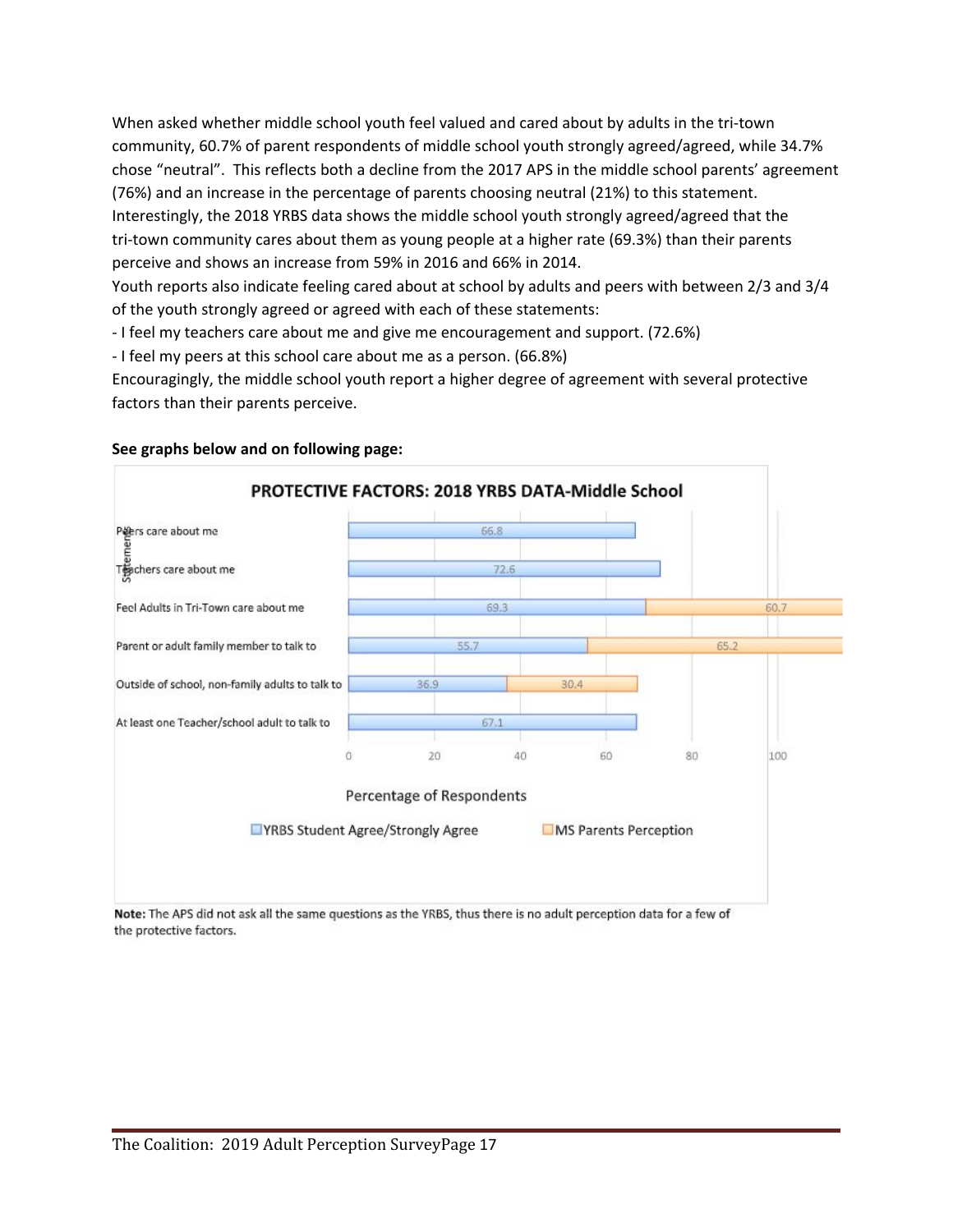When asked whether middle school youth feel valued and cared about by adults in the tri-town community, 60.7% of parent respondents of middle school youth strongly agreed/agreed, while 34.7% chose "neutral". This reflects both a decline from the 2017 APS in the middle school parents' agreement (76%) and an increase in the percentage of parents choosing neutral (21%) to this statement. Interestingly, the 2018 YRBS data shows the middle school youth strongly agreed/agreed that the tri-town community cares about them as young people at a higher rate (69.3%) than their parents perceive and shows an increase from 59% in 2016 and 66% in 2014.

Youth reports also indicate feeling cared about at school by adults and peers with between 2/3 and 3/4 of the youth strongly agreed or agreed with each of these statements:

- I feel my teachers care about me and give me encouragement and support. (72.6%)

- I feel my peers at this school care about me as a person. (66.8%)

Encouragingly, the middle school youth report a higher degree of agreement with several protective factors than their parents perceive.



#### **See graphs below and on following page:**

Note: The APS did not ask all the same questions as the YRBS, thus there is no adult perception data for a few of the protective factors.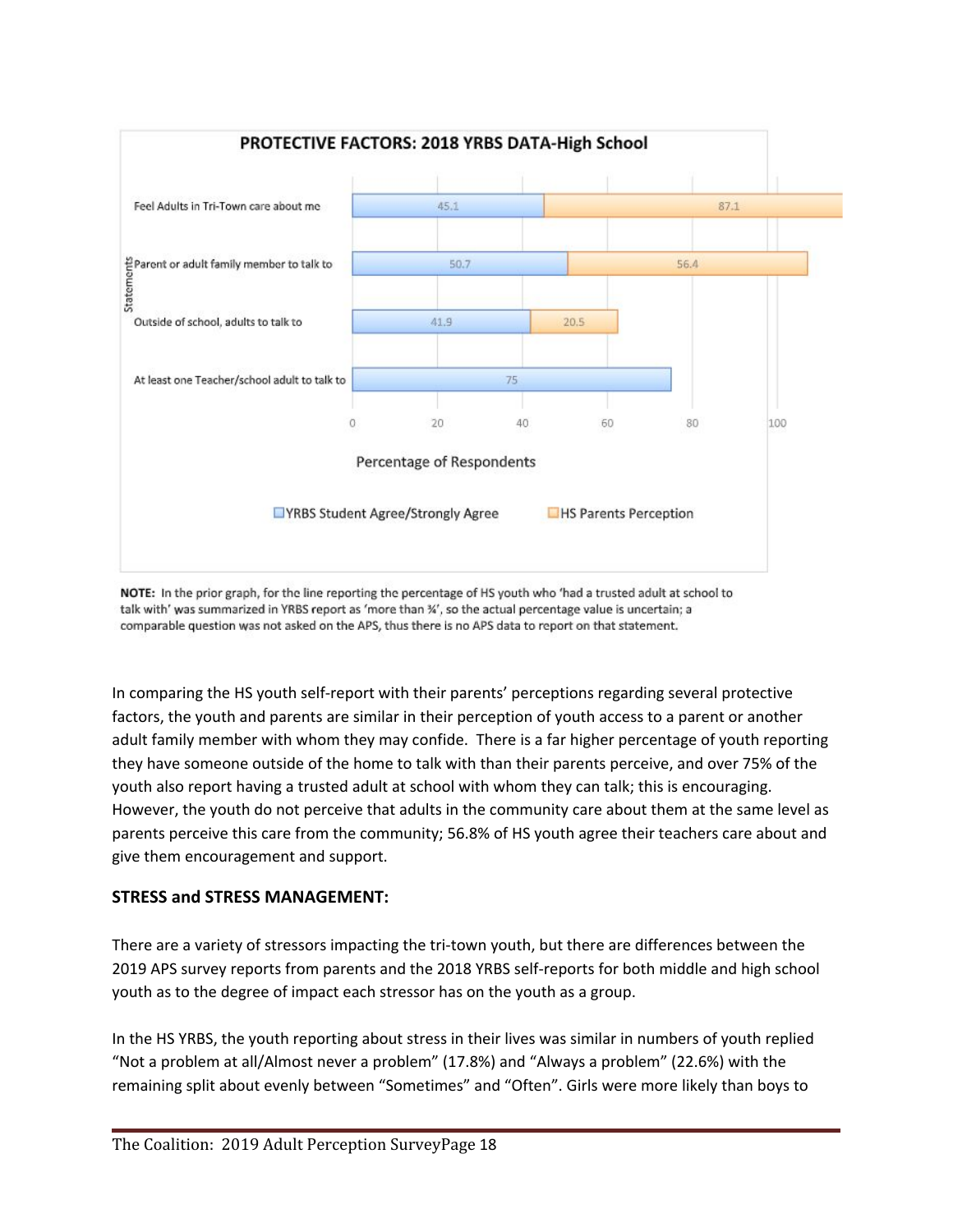

NOTE: In the prior graph, for the line reporting the percentage of HS youth who 'had a trusted adult at school to talk with' was summarized in YRBS report as 'more than %', so the actual percentage value is uncertain; a comparable question was not asked on the APS, thus there is no APS data to report on that statement.

In comparing the HS youth self-report with their parents' perceptions regarding several protective factors, the youth and parents are similar in their perception of youth access to a parent or another adult family member with whom they may confide. There is a far higher percentage of youth reporting they have someone outside of the home to talk with than their parents perceive, and over 75% of the youth also report having a trusted adult at school with whom they can talk; this is encouraging. However, the youth do not perceive that adults in the community care about them at the same level as parents perceive this care from the community; 56.8% of HS youth agree their teachers care about and give them encouragement and support.

#### **STRESS and STRESS MANAGEMENT:**

There are a variety of stressors impacting the tri-town youth, but there are differences between the 2019 APS survey reports from parents and the 2018 YRBS self-reports for both middle and high school youth as to the degree of impact each stressor has on the youth as a group.

In the HS YRBS, the youth reporting about stress in their lives was similar in numbers of youth replied "Not a problem at all/Almost never a problem" (17.8%) and "Always a problem" (22.6%) with the remaining split about evenly between "Sometimes" and "Often". Girls were more likely than boys to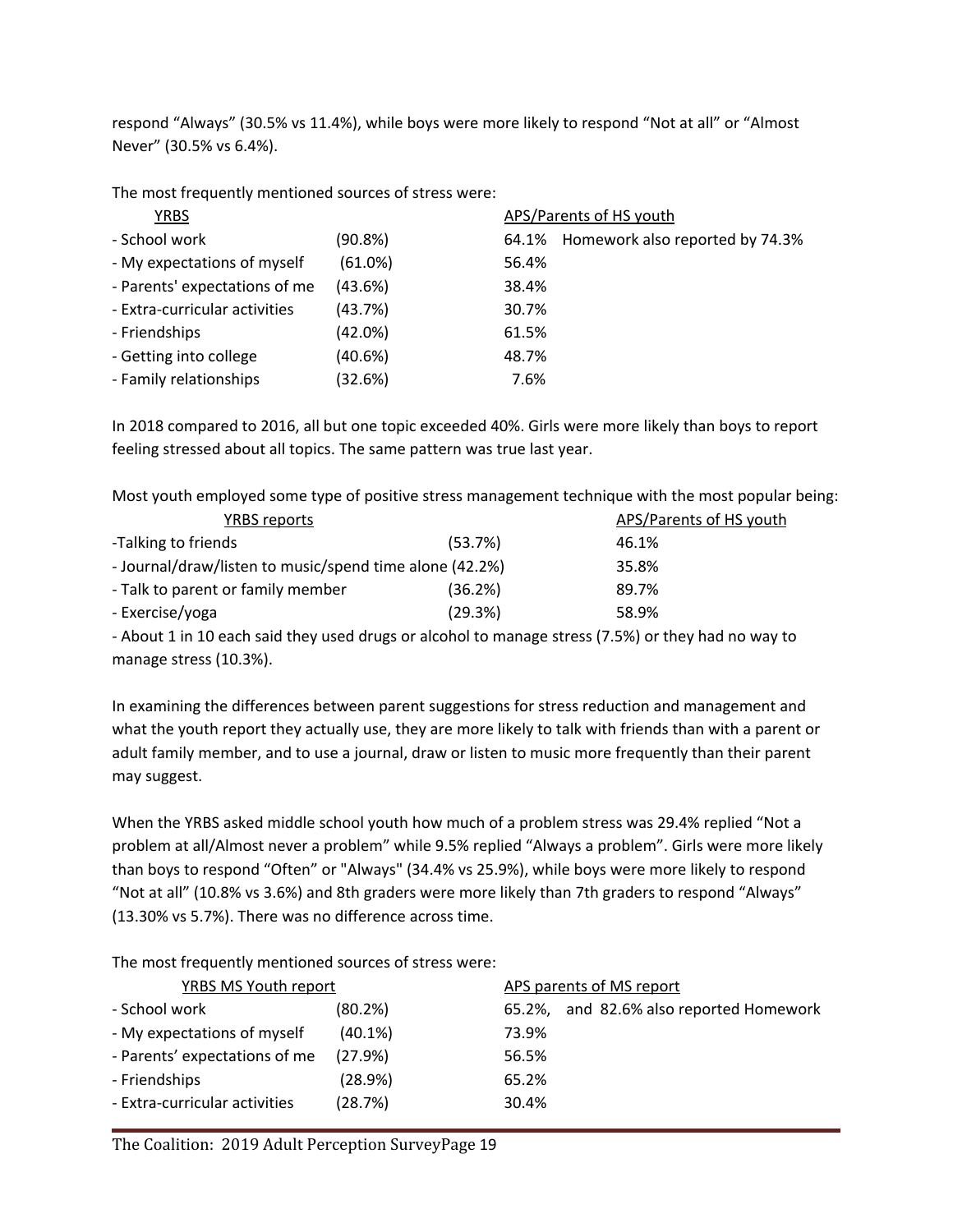respond "Always" (30.5% vs 11.4%), while boys were more likely to respond "Not at all" or "Almost Never" (30.5% vs 6.4%).

The most frequently mentioned sources of stress were:

| <b>YRBS</b>                   |            |       | APS/Parents of HS youth         |
|-------------------------------|------------|-------|---------------------------------|
| - School work                 | (90.8%)    | 64.1% | Homework also reported by 74.3% |
| - My expectations of myself   | (61.0%)    | 56.4% |                                 |
| - Parents' expectations of me | (43.6%)    | 38.4% |                                 |
| - Extra-curricular activities | (43.7%)    | 30.7% |                                 |
| - Friendships                 | $(42.0\%)$ | 61.5% |                                 |
| - Getting into college        | (40.6%)    | 48.7% |                                 |
| - Family relationships        | (32.6%)    | 7.6%  |                                 |

In 2018 compared to 2016, all but one topic exceeded 40%. Girls were more likely than boys to report feeling stressed about all topics. The same pattern was true last year.

Most youth employed some type of positive stress management technique with the most popular being:

| YRBS reports                                            |         | APS/Parents of HS youth |
|---------------------------------------------------------|---------|-------------------------|
| -Talking to friends                                     | (53.7%) | 46.1%                   |
| - Journal/draw/listen to music/spend time alone (42.2%) |         | 35.8%                   |
| - Talk to parent or family member                       | (36.2%) | 89.7%                   |
| - Exercise/yoga                                         | (29.3%) | 58.9%                   |

- About 1 in 10 each said they used drugs or alcohol to manage stress (7.5%) or they had no way to manage stress (10.3%).

In examining the differences between parent suggestions for stress reduction and management and what the youth report they actually use, they are more likely to talk with friends than with a parent or adult family member, and to use a journal, draw or listen to music more frequently than their parent may suggest.

When the YRBS asked middle school youth how much of a problem stress was 29.4% replied "Not a problem at all/Almost never a problem" while 9.5% replied "Always a problem". Girls were more likely than boys to respond "Often" or "Always" (34.4% vs 25.9%), while boys were more likely to respond "Not at all" (10.8% vs 3.6%) and 8th graders were more likely than 7th graders to respond "Always" (13.30% vs 5.7%). There was no difference across time.

The most frequently mentioned sources of stress were:

| <b>YRBS MS Youth report</b>   |            |        | APS parents of MS report         |  |  |  |
|-------------------------------|------------|--------|----------------------------------|--|--|--|
| - School work                 | (80.2%)    | 65.2%. | and 82.6% also reported Homework |  |  |  |
| - My expectations of myself   | $(40.1\%)$ | 73.9%  |                                  |  |  |  |
| - Parents' expectations of me | (27.9%)    | 56.5%  |                                  |  |  |  |
| - Friendships                 | (28.9%)    | 65.2%  |                                  |  |  |  |
| - Extra-curricular activities | (28.7%)    | 30.4%  |                                  |  |  |  |
|                               |            |        |                                  |  |  |  |

The Coalition: 2019 Adult Perception SurveyPage 19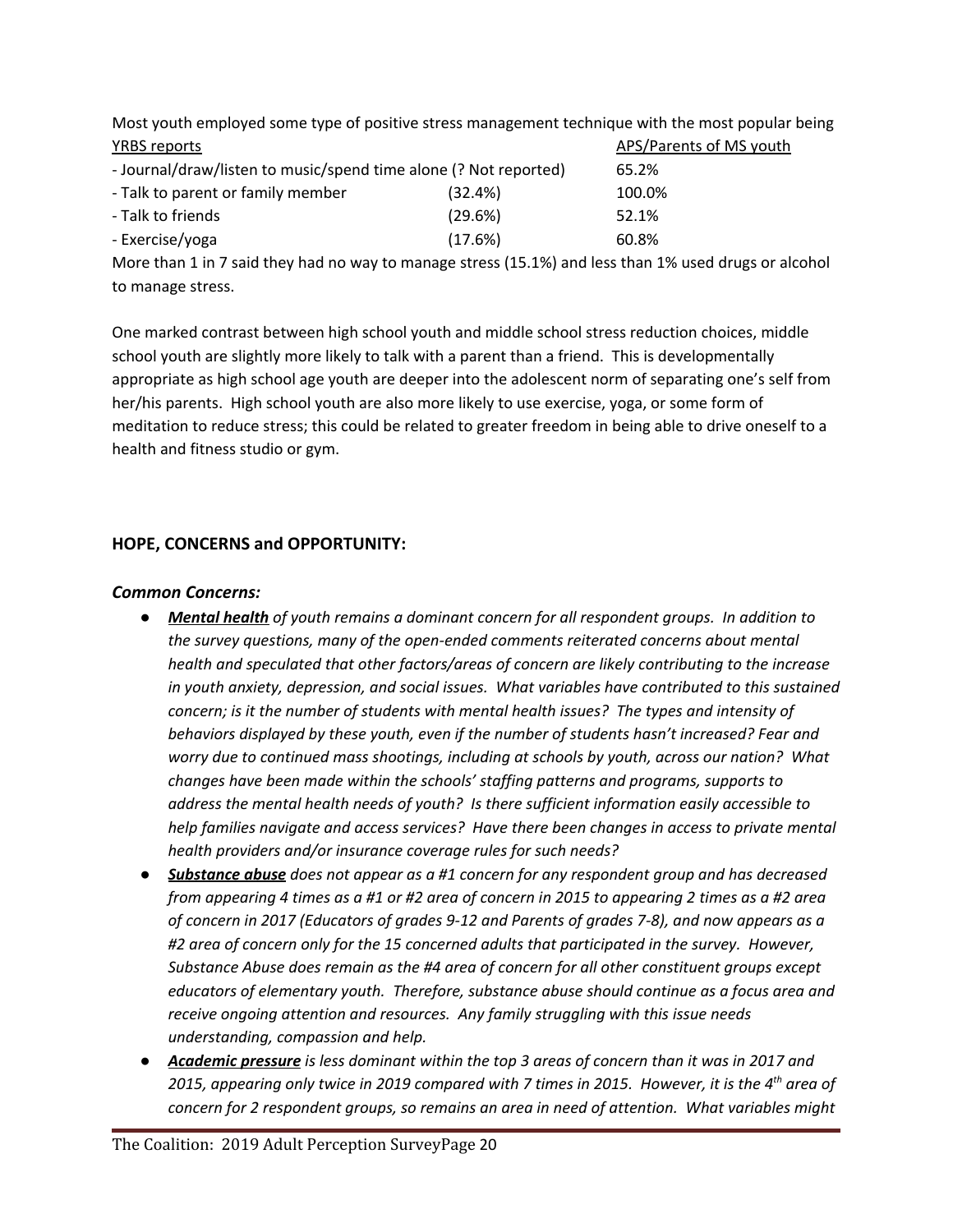Most youth employed some type of positive stress management technique with the most popular being **YRBS reports** APS/Parents of MS youth APS/Parents of MS youth

| - Journal/draw/listen to music/spend time alone (? Not reported) |         | 65.2%  |
|------------------------------------------------------------------|---------|--------|
| - Talk to parent or family member                                | (32.4%) | 100.0% |
| - Talk to friends                                                | (29.6%) | 52.1%  |
| - Exercise/yoga                                                  | (17.6%) | 60.8%  |

More than 1 in 7 said they had no way to manage stress (15.1%) and less than 1% used drugs or alcohol to manage stress.

One marked contrast between high school youth and middle school stress reduction choices, middle school youth are slightly more likely to talk with a parent than a friend. This is developmentally appropriate as high school age youth are deeper into the adolescent norm of separating one's self from her/his parents. High school youth are also more likely to use exercise, yoga, or some form of meditation to reduce stress; this could be related to greater freedom in being able to drive oneself to a health and fitness studio or gym.

#### **HOPE, CONCERNS and OPPORTUNITY:**

#### *Common Concerns:*

- *● Mental health of youth remains a dominant concern for all respondent groups. In addition to the survey questions, many of the open-ended comments reiterated concerns about mental health and speculated that other factors/areas of concern are likely contributing to the increase in youth anxiety, depression, and social issues. What variables have contributed to this sustained concern; is it the number of students with mental health issues? The types and intensity of behaviors displayed by these youth, even if the number of students hasn't increased? Fear and worry due to continued mass shootings, including at schools by youth, across our nation? What changes have been made within the schools' staffing patterns and programs, supports to address the mental health needs of youth? Is there sufficient information easily accessible to help families navigate and access services? Have there been changes in access to private mental health providers and/or insurance coverage rules for such needs?*
- *● Substance abuse does not appear as a #1 concern for any respondent group and has decreased* from appearing 4 times as a #1 or #2 area of concern in 2015 to appearing 2 times as a #2 area *of concern in 2017 (Educators of grades 9-12 and Parents of grades 7-8), and now appears as a #2 area of concern only for the 15 concerned adults that participated in the survey. However, Substance Abuse does remain as the #4 area of concern for all other constituent groups except educators of elementary youth. Therefore, substance abuse should continue as a focus area and receive ongoing attention and resources. Any family struggling with this issue needs understanding, compassion and help.*
- Academic pressure is less dominant within the top 3 areas of concern than it was in 2017 and 2015, appearing only twice in 2019 compared with 7 times in 2015. However, it is the 4<sup>th</sup> area of *concern for 2 respondent groups, so remains an area in need of attention. What variables might*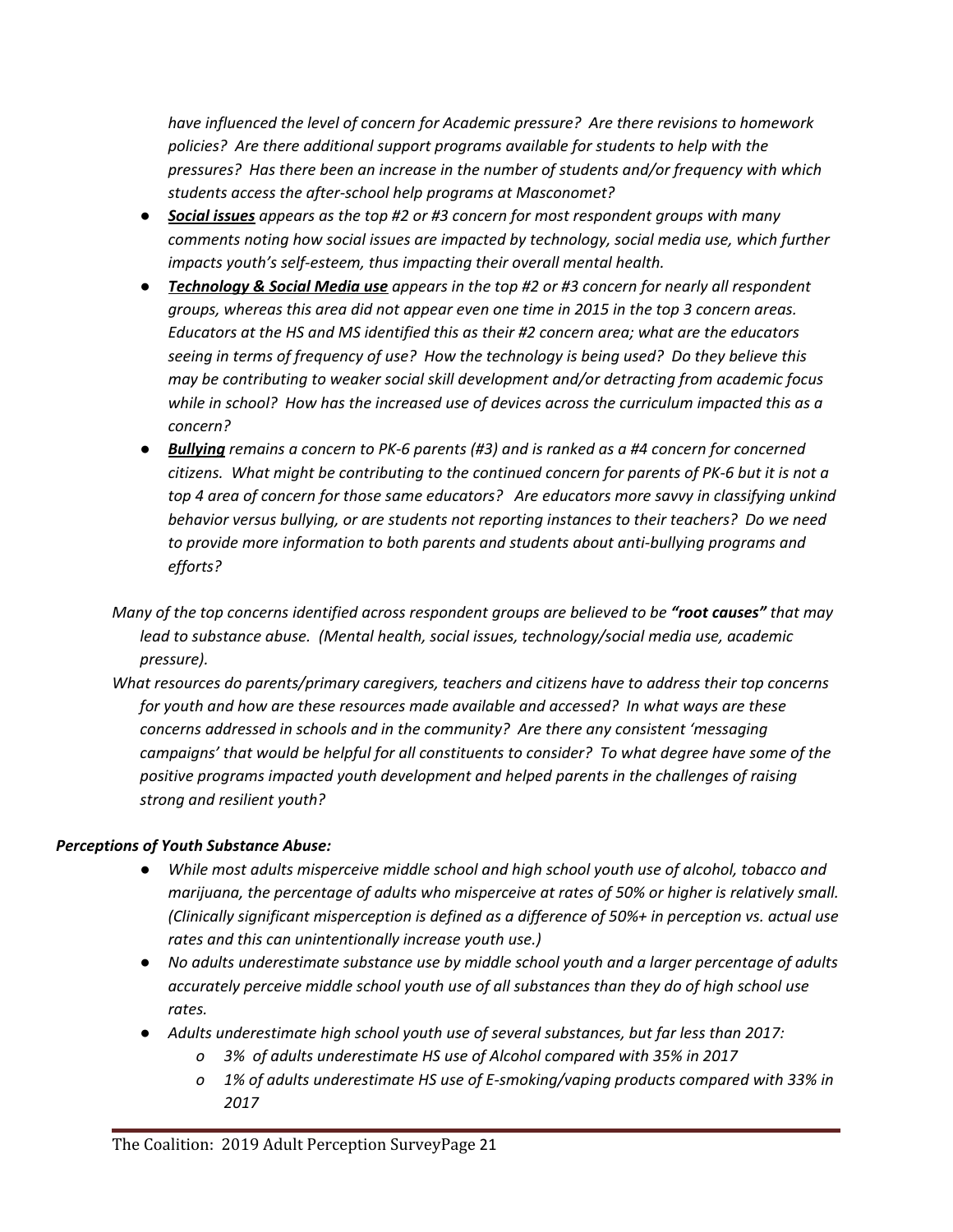*have influenced the level of concern for Academic pressure? Are there revisions to homework policies? Are there additional support programs available for students to help with the pressures? Has there been an increase in the number of students and/or frequency with which students access the after-school help programs at Masconomet?*

- *● Social issues appears as the top #2 or #3 concern for most respondent groups with many comments noting how social issues are impacted by technology, social media use, which further impacts youth's self-esteem, thus impacting their overall mental health.*
- *● Technology & Social Media use appears in the top #2 or #3 concern for nearly all respondent groups, whereas this area did not appear even one time in 2015 in the top 3 concern areas. Educators at the HS and MS identified this as their #2 concern area; what are the educators seeing in terms of frequency of use? How the technology is being used? Do they believe this may be contributing to weaker social skill development and/or detracting from academic focus while in school? How has the increased use of devices across the curriculum impacted this as a concern?*
- *● Bullying remains a concern to PK-6 parents (#3) and is ranked as a #4 concern for concerned citizens. What might be contributing to the continued concern for parents of PK-6 but it is not a top 4 area of concern for those same educators? Are educators more savvy in classifying unkind behavior versus bullying, or are students not reporting instances to their teachers? Do we need to provide more information to both parents and students about anti-bullying programs and efforts?*
- *Many of the top concerns identified across respondent groups are believed to be "root causes" that may lead to substance abuse. (Mental health, social issues, technology/social media use, academic pressure).*
- *What resources do parents/primary caregivers, teachers and citizens have to address their top concerns for youth and how are these resources made available and accessed? In what ways are these concerns addressed in schools and in the community? Are there any consistent 'messaging campaigns' that would be helpful for all constituents to consider? To what degree have some of the positive programs impacted youth development and helped parents in the challenges of raising strong and resilient youth?*

## *Perceptions of Youth Substance Abuse:*

- *● While most adults misperceive middle school and high school youth use of alcohol, tobacco and marijuana, the percentage of adults who misperceive at rates of 50% or higher is relatively small. (Clinically significant misperception is defined as a difference of 50%+ in perception vs. actual use rates and this can unintentionally increase youth use.)*
- *● No adults underestimate substance use by middle school youth and a larger percentage of adults accurately perceive middle school youth use of all substances than they do of high school use rates.*
- *● Adults underestimate high school youth use of several substances, but far less than 2017:*
	- *o 3% of adults underestimate HS use of Alcohol compared with 35% in 2017*
	- *o 1% of adults underestimate HS use of E-smoking/vaping products compared with 33% in 2017*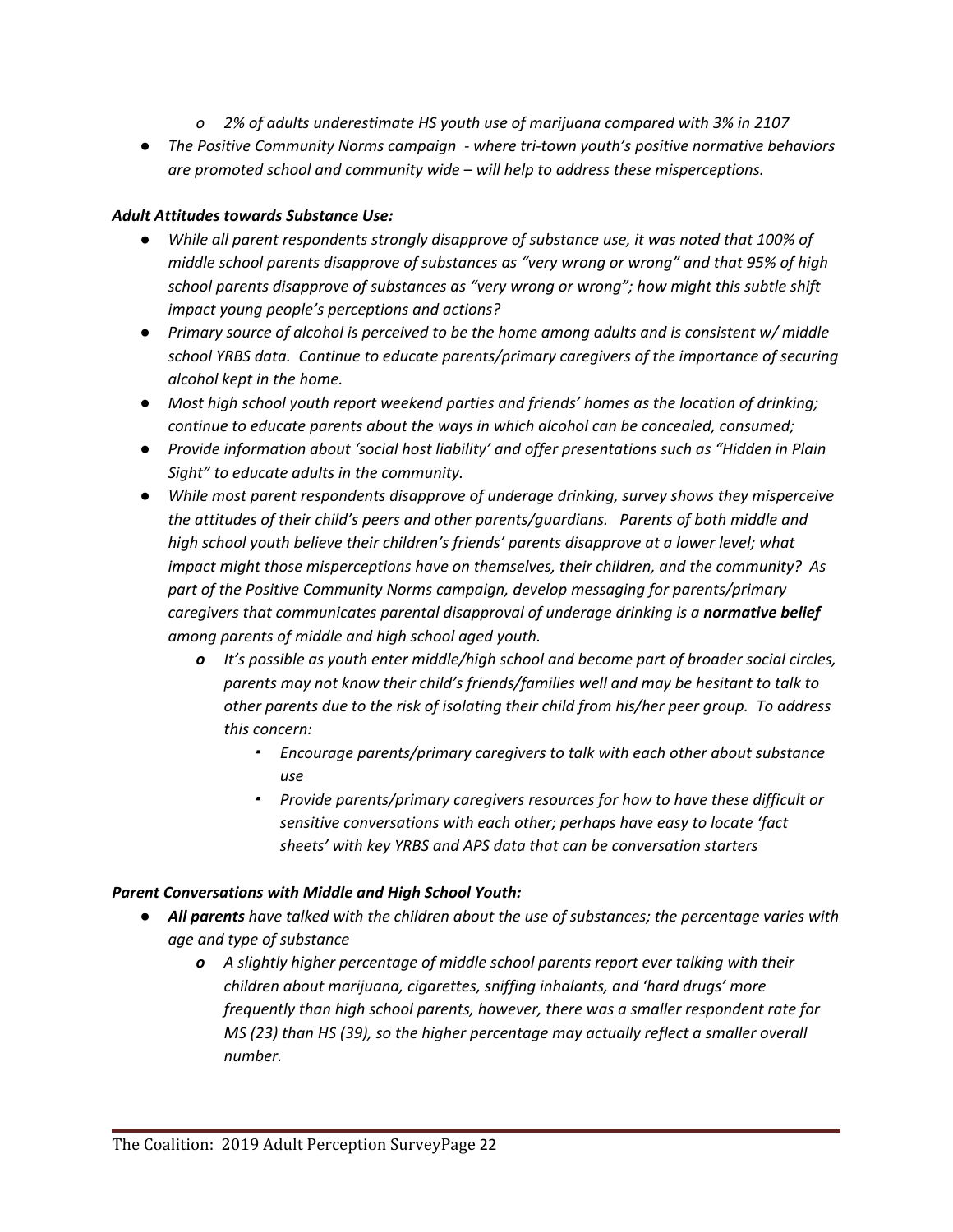- *o 2% of adults underestimate HS youth use of marijuana compared with 3% in 2107*
- *● The Positive Community Norms campaign - where tri-town youth's positive normative behaviors are promoted school and community wide – will help to address these misperceptions.*

#### *Adult Attitudes towards Substance Use:*

- *● While all parent respondents strongly disapprove of substance use, it was noted that 100% of middle school parents disapprove of substances as "very wrong or wrong" and that 95% of high school parents disapprove of substances as "very wrong or wrong"; how might this subtle shift impact young people's perceptions and actions?*
- *● Primary source of alcohol is perceived to be the home among adults and is consistent w/ middle school YRBS data. Continue to educate parents/primary caregivers of the importance of securing alcohol kept in the home.*
- *● Most high school youth report weekend parties and friends' homes as the location of drinking; continue to educate parents about the ways in which alcohol can be concealed, consumed;*
- *● Provide information about 'social host liability' and offer presentations such as "Hidden in Plain Sight" to educate adults in the community.*
- *● While most parent respondents disapprove of underage drinking, survey shows they misperceive the attitudes of their child's peers and other parents/guardians. Parents of both middle and high school youth believe their children's friends' parents disapprove at a lower level; what impact might those misperceptions have on themselves, their children, and the community? As part of the Positive Community Norms campaign, develop messaging for parents/primary caregivers that communicates parental disapproval of underage drinking is a normative belief among parents of middle and high school aged youth.*
	- *o It's possible as youth enter middle/high school and become part of broader social circles, parents may not know their child's friends/families well and may be hesitant to talk to other parents due to the risk of isolating their child from his/her peer group. To address this concern:*
		- *Encourage parents/primary caregivers to talk with each other about substance use*
		- *Provide parents/primary caregivers resources for how to have these difficult or sensitive conversations with each other; perhaps have easy to locate 'fact sheets' with key YRBS and APS data that can be conversation starters*

#### *Parent Conversations with Middle and High School Youth:*

- *● All parents have talked with the children about the use of substances; the percentage varies with age and type of substance*
	- *o A slightly higher percentage of middle school parents report ever talking with their children about marijuana, cigarettes, sniffing inhalants, and 'hard drugs' more frequently than high school parents, however, there was a smaller respondent rate for MS (23) than HS (39), so the higher percentage may actually reflect a smaller overall number.*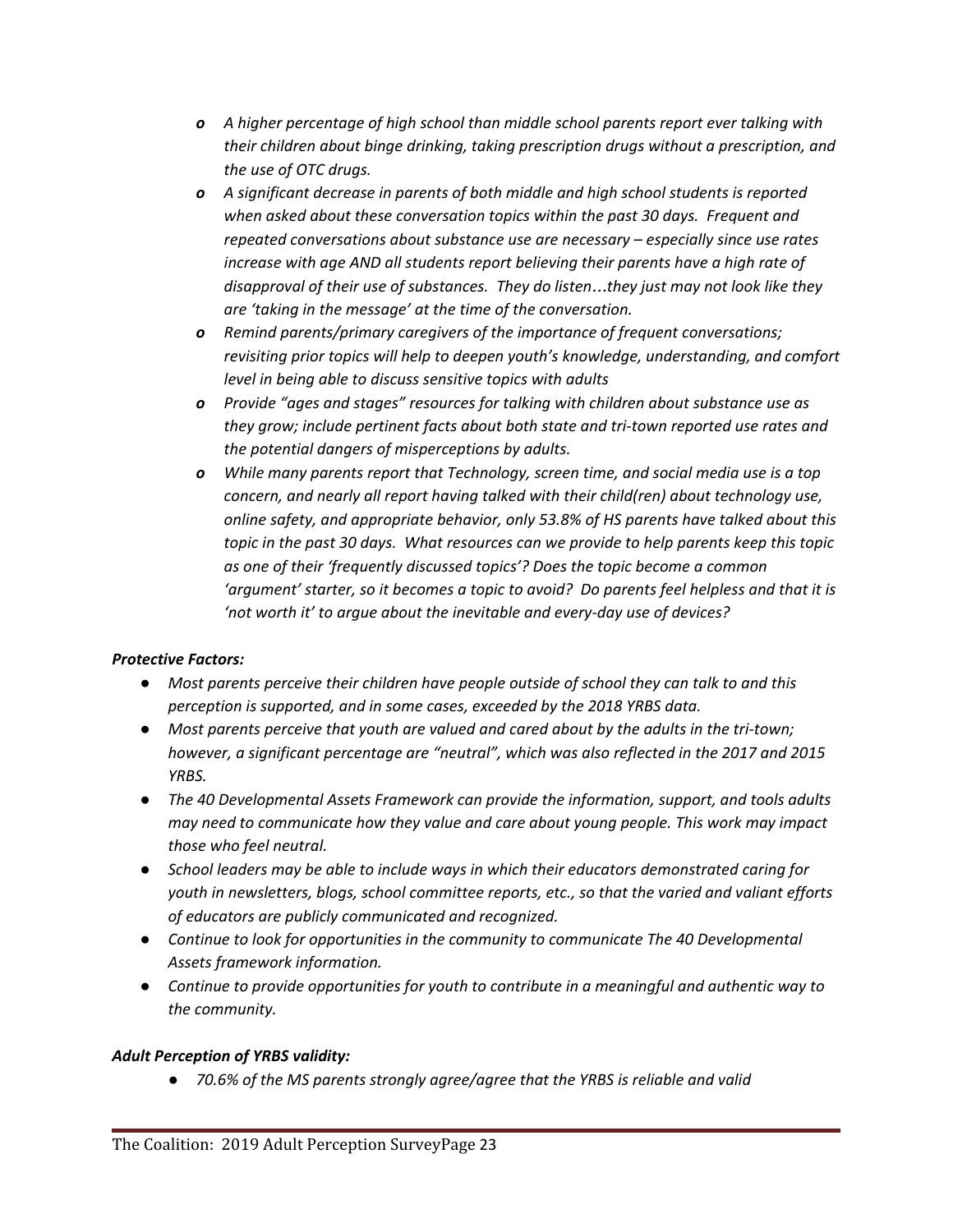- *o A higher percentage of high school than middle school parents report ever talking with their children about binge drinking, taking prescription drugs without a prescription, and the use of OTC drugs.*
- *o A significant decrease in parents of both middle and high school students is reported when asked about these conversation topics within the past 30 days. Frequent and repeated conversations about substance use are necessary – especially since use rates increase with age AND all students report believing their parents have a high rate of disapproval of their use of substances. They do listen*…*they just may not look like they are 'taking in the message' at the time of the conversation.*
- *o Remind parents/primary caregivers of the importance of frequent conversations; revisiting prior topics will help to deepen youth's knowledge, understanding, and comfort level in being able to discuss sensitive topics with adults*
- *o Provide "ages and stages" resources for talking with children about substance use as they grow; include pertinent facts about both state and tri-town reported use rates and the potential dangers of misperceptions by adults.*
- *o While many parents report that Technology, screen time, and social media use is a top concern, and nearly all report having talked with their child(ren) about technology use, online safety, and appropriate behavior, only 53.8% of HS parents have talked about this topic in the past 30 days. What resources can we provide to help parents keep this topic as one of their 'frequently discussed topics'? Does the topic become a common 'argument' starter, so it becomes a topic to avoid? Do parents feel helpless and that it is 'not worth it' to argue about the inevitable and every-day use of devices?*

## *Protective Factors:*

- *● Most parents perceive their children have people outside of school they can talk to and this perception is supported, and in some cases, exceeded by the 2018 YRBS data.*
- *● Most parents perceive that youth are valued and cared about by the adults in the tri-town; however, a significant percentage are "neutral", which was also reflected in the 2017 and 2015 YRBS.*
- *● The 40 Developmental Assets Framework can provide the information, support, and tools adults may need to communicate how they value and care about young people. This work may impact those who feel neutral.*
- *● School leaders may be able to include ways in which their educators demonstrated caring for youth in newsletters, blogs, school committee reports, etc., so that the varied and valiant efforts of educators are publicly communicated and recognized.*
- *● Continue to look for opportunities in the community to communicate The 40 Developmental Assets framework information.*
- *● Continue to provide opportunities for youth to contribute in a meaningful and authentic way to the community.*

## *Adult Perception of YRBS validity:*

*● 70.6% of the MS parents strongly agree/agree that the YRBS is reliable and valid*